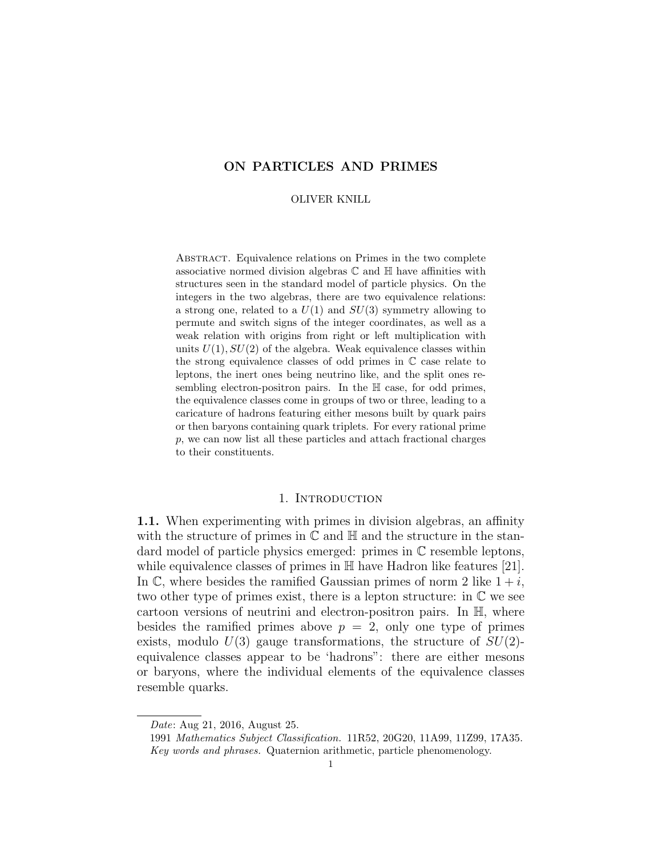# ON PARTICLES AND PRIMES

### OLIVER KNILL

Abstract. Equivalence relations on Primes in the two complete associative normed division algebras  $\mathbb C$  and  $\mathbb H$  have affinities with structures seen in the standard model of particle physics. On the integers in the two algebras, there are two equivalence relations: a strong one, related to a  $U(1)$  and  $SU(3)$  symmetry allowing to permute and switch signs of the integer coordinates, as well as a weak relation with origins from right or left multiplication with units  $U(1)$ ,  $SU(2)$  of the algebra. Weak equivalence classes within the strong equivalence classes of odd primes in C case relate to leptons, the inert ones being neutrino like, and the split ones resembling electron-positron pairs. In the  $\mathbb H$  case, for odd primes, the equivalence classes come in groups of two or three, leading to a caricature of hadrons featuring either mesons built by quark pairs or then baryons containing quark triplets. For every rational prime p, we can now list all these particles and attach fractional charges to their constituents.

# 1. INTRODUCTION

1.1. When experimenting with primes in division algebras, an affinity with the structure of primes in  $\mathbb C$  and  $\mathbb H$  and the structure in the standard model of particle physics emerged: primes in C resemble leptons, while equivalence classes of primes in  $H$  have Hadron like features [21]. In  $\mathbb{C}$ , where besides the ramified Gaussian primes of norm 2 like  $1 + i$ , two other type of primes exist, there is a lepton structure: in C we see cartoon versions of neutrini and electron-positron pairs. In H, where besides the ramified primes above  $p = 2$ , only one type of primes exists, modulo  $U(3)$  gauge transformations, the structure of  $SU(2)$ equivalence classes appear to be 'hadrons": there are either mesons or baryons, where the individual elements of the equivalence classes resemble quarks.

Date: Aug 21, 2016, August 25.

<sup>1991</sup> Mathematics Subject Classification. 11R52, 20G20, 11A99, 11Z99, 17A35.

Key words and phrases. Quaternion arithmetic, particle phenomenology.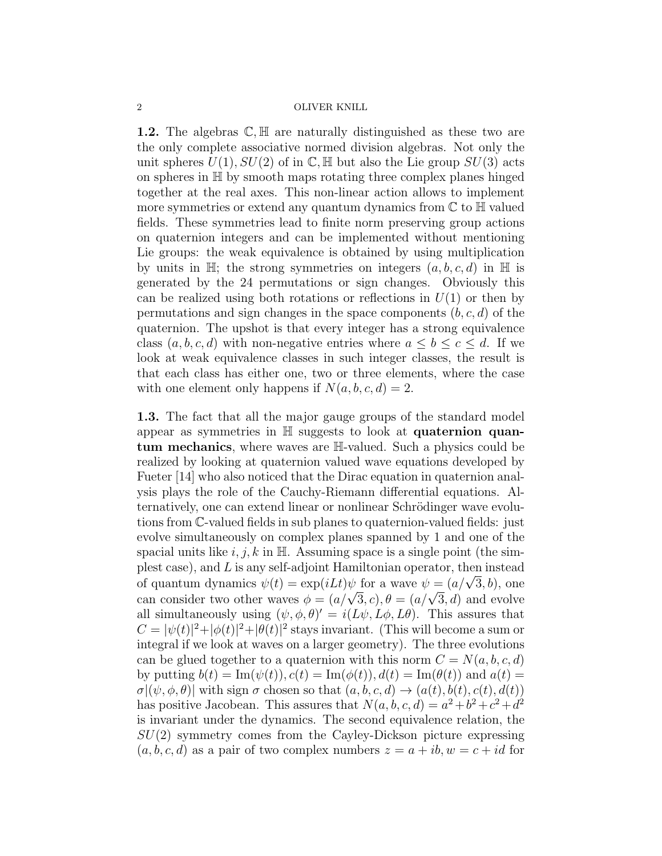**1.2.** The algebras  $\mathbb{C}, \mathbb{H}$  are naturally distinguished as these two are the only complete associative normed division algebras. Not only the unit spheres  $U(1)$ ,  $SU(2)$  of in C, H but also the Lie group  $SU(3)$  acts on spheres in H by smooth maps rotating three complex planes hinged together at the real axes. This non-linear action allows to implement more symmetries or extend any quantum dynamics from  $\mathbb C$  to  $\mathbb H$  valued fields. These symmetries lead to finite norm preserving group actions on quaternion integers and can be implemented without mentioning Lie groups: the weak equivalence is obtained by using multiplication by units in  $\mathbb{H}$ ; the strong symmetries on integers  $(a, b, c, d)$  in  $\mathbb{H}$  is generated by the 24 permutations or sign changes. Obviously this can be realized using both rotations or reflections in  $U(1)$  or then by permutations and sign changes in the space components  $(b, c, d)$  of the quaternion. The upshot is that every integer has a strong equivalence class  $(a, b, c, d)$  with non-negative entries where  $a \leq b \leq c \leq d$ . If we look at weak equivalence classes in such integer classes, the result is that each class has either one, two or three elements, where the case with one element only happens if  $N(a, b, c, d) = 2$ .

1.3. The fact that all the major gauge groups of the standard model appear as symmetries in H suggests to look at quaternion quantum mechanics, where waves are H-valued. Such a physics could be realized by looking at quaternion valued wave equations developed by Fueter [14] who also noticed that the Dirac equation in quaternion analysis plays the role of the Cauchy-Riemann differential equations. Alternatively, one can extend linear or nonlinear Schrödinger wave evolutions from C-valued fields in sub planes to quaternion-valued fields: just evolve simultaneously on complex planes spanned by 1 and one of the spacial units like  $i, j, k$  in  $\mathbb{H}$ . Assuming space is a single point (the simplest case), and L is any self-adjoint Hamiltonian operator, then instead plest case), and L is any sen-adjoint Hamiltonian operator, then instead<br>of quantum dynamics  $\psi(t) = \exp(iLt)\psi$  for a wave  $\psi = (a/\sqrt{3}, b)$ , one or quantum dynamics  $\psi(t) = \exp(i\mathcal{L}t)\psi$  for a wave  $\psi = (a/\sqrt{3}, b)$ , one<br>can consider two other waves  $\phi = (a/\sqrt{3}, c), \theta = (a/\sqrt{3}, d)$  and evolve all simultaneously using  $(\psi, \phi, \theta)' = i(L\psi, L\phi, L\theta)$ . This assures that  $C = |\psi(t)|^2 + |\phi(t)|^2 + |\theta(t)|^2$  stays invariant. (This will become a sum or integral if we look at waves on a larger geometry). The three evolutions can be glued together to a quaternion with this norm  $C = N(a, b, c, d)$ by putting  $b(t) = \text{Im}(\psi(t)), c(t) = \text{Im}(\phi(t)), d(t) = \text{Im}(\theta(t))$  and  $a(t) =$  $\sigma$  $(\psi, \phi, \theta)$  with sign  $\sigma$  chosen so that  $(a, b, c, d) \rightarrow (a(t), b(t), c(t), d(t))$ has positive Jacobean. This assures that  $N(a, b, c, d) = a^2 + b^2 + c^2 + d^2$ is invariant under the dynamics. The second equivalence relation, the  $SU(2)$  symmetry comes from the Cayley-Dickson picture expressing  $(a, b, c, d)$  as a pair of two complex numbers  $z = a + ib, w = c + id$  for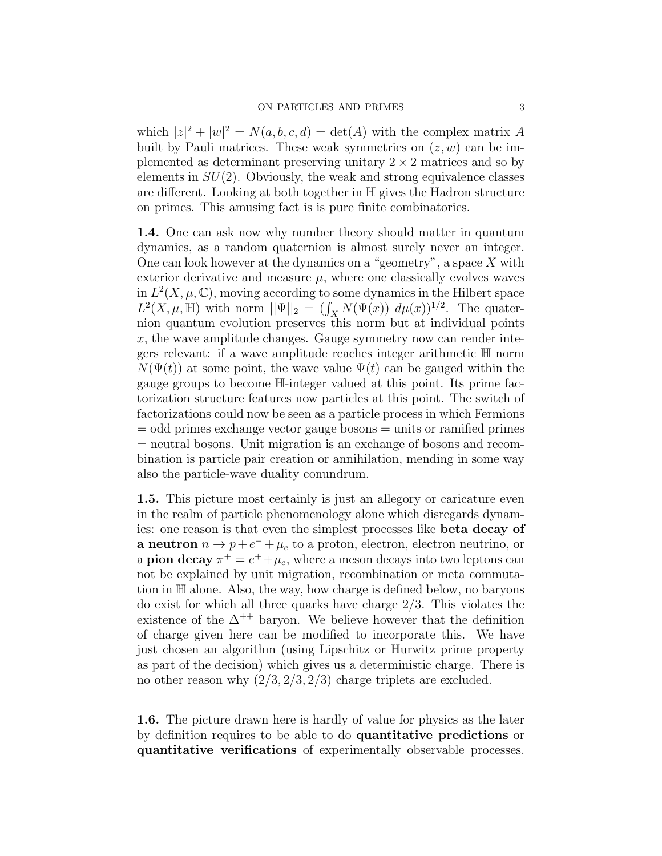which  $|z|^2 + |w|^2 = N(a, b, c, d) = \det(A)$  with the complex matrix A built by Pauli matrices. These weak symmetries on  $(z, w)$  can be implemented as determinant preserving unitary  $2 \times 2$  matrices and so by elements in  $SU(2)$ . Obviously, the weak and strong equivalence classes are different. Looking at both together in H gives the Hadron structure on primes. This amusing fact is is pure finite combinatorics.

1.4. One can ask now why number theory should matter in quantum dynamics, as a random quaternion is almost surely never an integer. One can look however at the dynamics on a "geometry", a space  $X$  with exterior derivative and measure  $\mu$ , where one classically evolves waves in  $L^2(X, \mu, \mathbb{C})$ , moving according to some dynamics in the Hilbert space  $L^2(X, \mu, \mathbb{H})$  with norm  $||\Psi||_2 = (\int_X N(\Psi(x)) d\mu(x))^{1/2}$ . The quaternion quantum evolution preserves this norm but at individual points  $x$ , the wave amplitude changes. Gauge symmetry now can render integers relevant: if a wave amplitude reaches integer arithmetic H norm  $N(\Psi(t))$  at some point, the wave value  $\Psi(t)$  can be gauged within the gauge groups to become H-integer valued at this point. Its prime factorization structure features now particles at this point. The switch of factorizations could now be seen as a particle process in which Fermions = odd primes exchange vector gauge bosons = units or ramified primes = neutral bosons. Unit migration is an exchange of bosons and recombination is particle pair creation or annihilation, mending in some way also the particle-wave duality conundrum.

1.5. This picture most certainly is just an allegory or caricature even in the realm of particle phenomenology alone which disregards dynamics: one reason is that even the simplest processes like beta decay of **a neutron**  $n \to p + e^- + \mu_e$  to a proton, electron, electron neutrino, or a **pion decay**  $\pi^+ = e^+ + \mu_e$ , where a meson decays into two leptons can not be explained by unit migration, recombination or meta commutation in H alone. Also, the way, how charge is defined below, no baryons do exist for which all three quarks have charge 2/3. This violates the existence of the  $\Delta^{++}$  baryon. We believe however that the definition of charge given here can be modified to incorporate this. We have just chosen an algorithm (using Lipschitz or Hurwitz prime property as part of the decision) which gives us a deterministic charge. There is no other reason why  $(2/3, 2/3, 2/3)$  charge triplets are excluded.

1.6. The picture drawn here is hardly of value for physics as the later by definition requires to be able to do quantitative predictions or quantitative verifications of experimentally observable processes.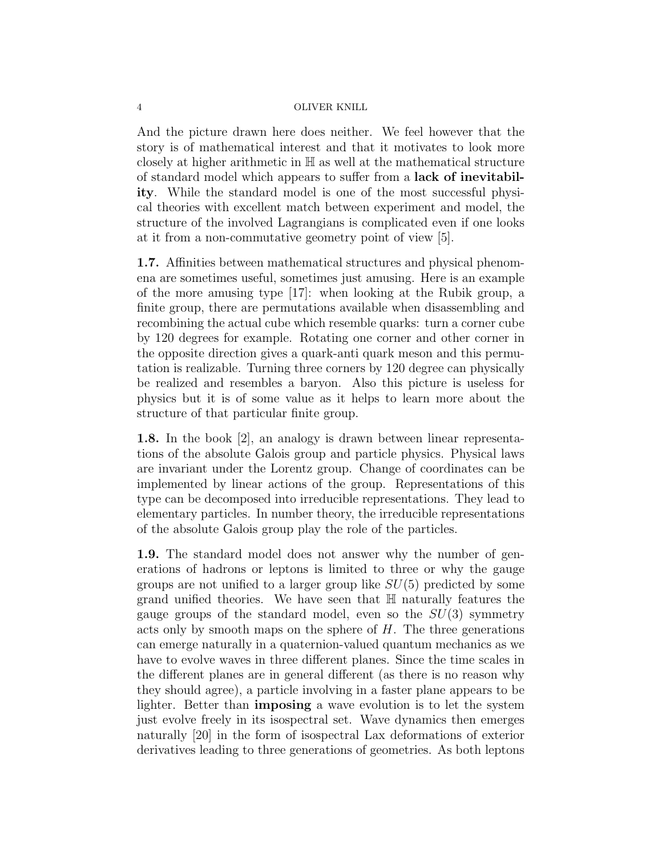And the picture drawn here does neither. We feel however that the story is of mathematical interest and that it motivates to look more closely at higher arithmetic in H as well at the mathematical structure of standard model which appears to suffer from a lack of inevitability. While the standard model is one of the most successful physical theories with excellent match between experiment and model, the structure of the involved Lagrangians is complicated even if one looks at it from a non-commutative geometry point of view [5].

1.7. Affinities between mathematical structures and physical phenomena are sometimes useful, sometimes just amusing. Here is an example of the more amusing type [17]: when looking at the Rubik group, a finite group, there are permutations available when disassembling and recombining the actual cube which resemble quarks: turn a corner cube by 120 degrees for example. Rotating one corner and other corner in the opposite direction gives a quark-anti quark meson and this permutation is realizable. Turning three corners by 120 degree can physically be realized and resembles a baryon. Also this picture is useless for physics but it is of some value as it helps to learn more about the structure of that particular finite group.

1.8. In the book [2], an analogy is drawn between linear representations of the absolute Galois group and particle physics. Physical laws are invariant under the Lorentz group. Change of coordinates can be implemented by linear actions of the group. Representations of this type can be decomposed into irreducible representations. They lead to elementary particles. In number theory, the irreducible representations of the absolute Galois group play the role of the particles.

1.9. The standard model does not answer why the number of generations of hadrons or leptons is limited to three or why the gauge groups are not unified to a larger group like  $SU(5)$  predicted by some grand unified theories. We have seen that H naturally features the gauge groups of the standard model, even so the  $SU(3)$  symmetry acts only by smooth maps on the sphere of  $H$ . The three generations can emerge naturally in a quaternion-valued quantum mechanics as we have to evolve waves in three different planes. Since the time scales in the different planes are in general different (as there is no reason why they should agree), a particle involving in a faster plane appears to be lighter. Better than imposing a wave evolution is to let the system just evolve freely in its isospectral set. Wave dynamics then emerges naturally [20] in the form of isospectral Lax deformations of exterior derivatives leading to three generations of geometries. As both leptons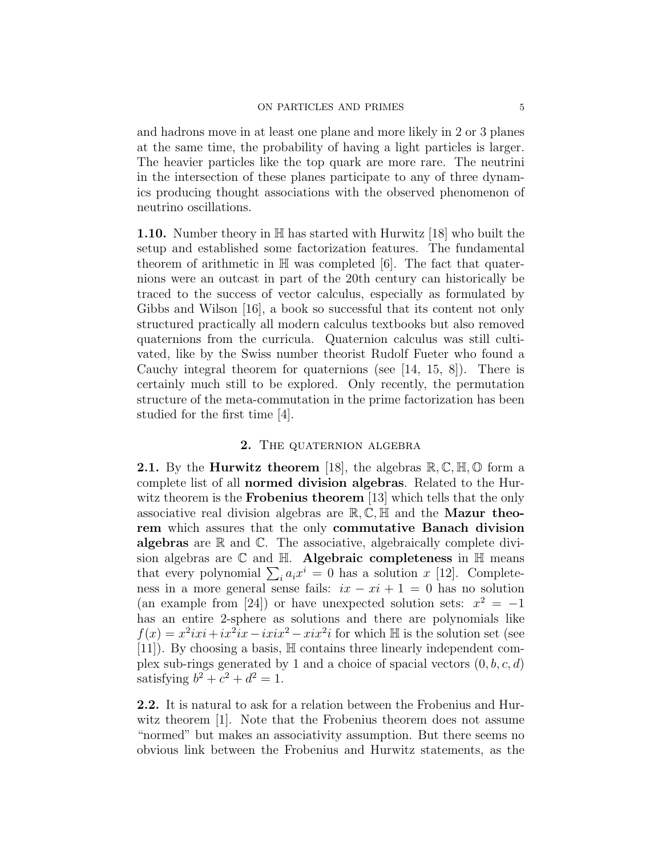and hadrons move in at least one plane and more likely in 2 or 3 planes at the same time, the probability of having a light particles is larger. The heavier particles like the top quark are more rare. The neutrini in the intersection of these planes participate to any of three dynamics producing thought associations with the observed phenomenon of neutrino oscillations.

**1.10.** Number theory in  $\mathbb{H}$  has started with Hurwitz [18] who built the setup and established some factorization features. The fundamental theorem of arithmetic in  $\mathbb H$  was completed [6]. The fact that quaternions were an outcast in part of the 20th century can historically be traced to the success of vector calculus, especially as formulated by Gibbs and Wilson [16], a book so successful that its content not only structured practically all modern calculus textbooks but also removed quaternions from the curricula. Quaternion calculus was still cultivated, like by the Swiss number theorist Rudolf Fueter who found a Cauchy integral theorem for quaternions (see  $[14, 15, 8]$ ). There is certainly much still to be explored. Only recently, the permutation structure of the meta-commutation in the prime factorization has been studied for the first time [4].

# 2. THE QUATERNION ALGEBRA

**2.1.** By the **Hurwitz theorem** [18], the algebras  $\mathbb{R}, \mathbb{C}, \mathbb{H}, \mathbb{O}$  form a complete list of all normed division algebras. Related to the Hurwitz theorem is the **Frobenius theorem** [13] which tells that the only associative real division algebras are  $\mathbb{R}, \mathbb{C}, \mathbb{H}$  and the **Mazur theo**rem which assures that the only commutative Banach division **algebras** are  $\mathbb R$  and  $\mathbb C$ . The associative, algebraically complete division algebras are  $\mathbb C$  and  $\mathbb H$ . Algebraic completeness in  $\mathbb H$  means that every polynomial  $\sum_i a_i x^i = 0$  has a solution x [12]. Completeness in a more general sense fails:  $ix - xi + 1 = 0$  has no solution (an example from [24]) or have unexpected solution sets:  $x^2 = -1$ has an entire 2-sphere as solutions and there are polynomials like  $f(x) = x^2 i x i + i x^2 i x - i x i x^2 - x i x^2 i$  for which H is the solution set (see [11]). By choosing a basis, H contains three linearly independent complex sub-rings generated by 1 and a choice of spacial vectors  $(0, b, c, d)$ satisfying  $b^2 + c^2 + d^2 = 1$ .

2.2. It is natural to ask for a relation between the Frobenius and Hurwitz theorem [1]. Note that the Frobenius theorem does not assume "normed" but makes an associativity assumption. But there seems no obvious link between the Frobenius and Hurwitz statements, as the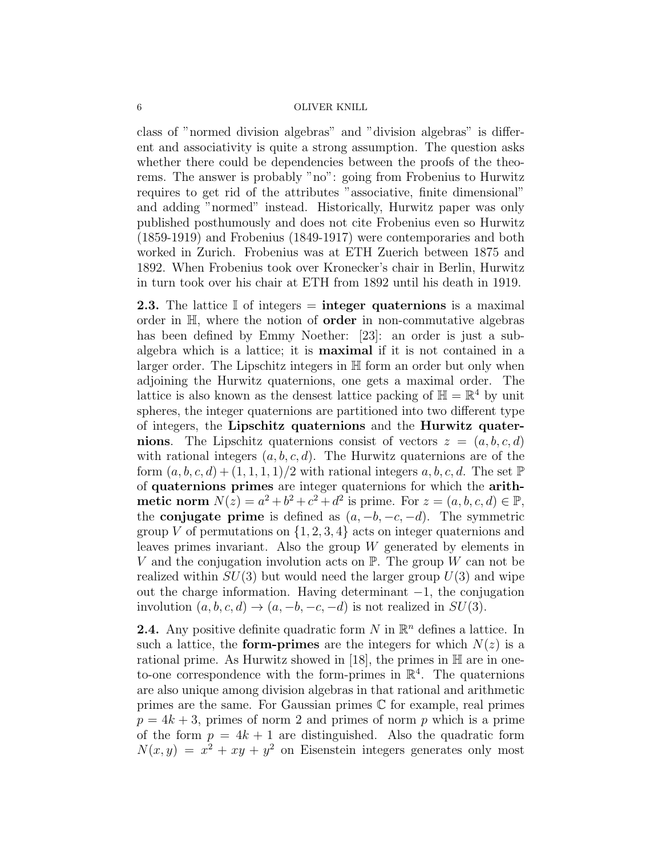class of "normed division algebras" and "division algebras" is different and associativity is quite a strong assumption. The question asks whether there could be dependencies between the proofs of the theorems. The answer is probably "no": going from Frobenius to Hurwitz requires to get rid of the attributes "associative, finite dimensional" and adding "normed" instead. Historically, Hurwitz paper was only published posthumously and does not cite Frobenius even so Hurwitz (1859-1919) and Frobenius (1849-1917) were contemporaries and both worked in Zurich. Frobenius was at ETH Zuerich between 1875 and 1892. When Frobenius took over Kronecker's chair in Berlin, Hurwitz in turn took over his chair at ETH from 1892 until his death in 1919.

**2.3.** The lattice  $\mathbb{I}$  of integers  $=$  **integer quaternions** is a maximal order in H, where the notion of order in non-commutative algebras has been defined by Emmy Noether: [23]: an order is just a subalgebra which is a lattice; it is maximal if it is not contained in a larger order. The Lipschitz integers in H form an order but only when adjoining the Hurwitz quaternions, one gets a maximal order. The lattice is also known as the densest lattice packing of  $\mathbb{H} = \mathbb{R}^4$  by unit spheres, the integer quaternions are partitioned into two different type of integers, the Lipschitz quaternions and the Hurwitz quaternions. The Lipschitz quaternions consist of vectors  $z = (a, b, c, d)$ with rational integers  $(a, b, c, d)$ . The Hurwitz quaternions are of the form  $(a, b, c, d) + (1, 1, 1, 1)/2$  with rational integers  $a, b, c, d$ . The set  $\mathbb P$ of quaternions primes are integer quaternions for which the arithmetic norm  $N(z) = a^2 + b^2 + c^2 + d^2$  is prime. For  $z = (a, b, c, d) \in \mathbb{P}$ , the **conjugate prime** is defined as  $(a, -b, -c, -d)$ . The symmetric group V of permutations on  $\{1, 2, 3, 4\}$  acts on integer quaternions and leaves primes invariant. Also the group  $W$  generated by elements in V and the conjugation involution acts on  $\mathbb{P}$ . The group W can not be realized within  $SU(3)$  but would need the larger group  $U(3)$  and wipe out the charge information. Having determinant −1, the conjugation involution  $(a, b, c, d) \rightarrow (a, -b, -c, -d)$  is not realized in  $SU(3)$ .

**2.4.** Any positive definite quadratic form N in  $\mathbb{R}^n$  defines a lattice. In such a lattice, the **form-primes** are the integers for which  $N(z)$  is a rational prime. As Hurwitz showed in [18], the primes in  $\mathbb H$  are in oneto-one correspondence with the form-primes in  $\mathbb{R}^4$ . The quaternions are also unique among division algebras in that rational and arithmetic primes are the same. For Gaussian primes C for example, real primes  $p = 4k + 3$ , primes of norm 2 and primes of norm p which is a prime of the form  $p = 4k + 1$  are distinguished. Also the quadratic form  $N(x, y) = x^2 + xy + y^2$  on Eisenstein integers generates only most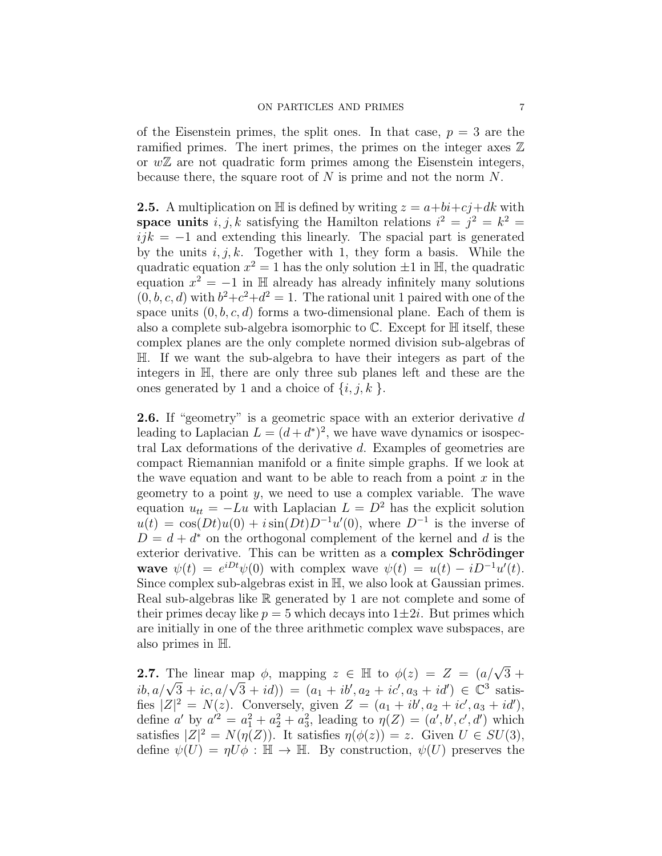of the Eisenstein primes, the split ones. In that case,  $p = 3$  are the ramified primes. The inert primes, the primes on the integer axes  $\mathbb Z$ or  $w\mathbb{Z}$  are not quadratic form primes among the Eisenstein integers, because there, the square root of  $N$  is prime and not the norm  $N$ .

**2.5.** A multiplication on  $\mathbb{H}$  is defined by writing  $z = a + bi + cj + dk$  with space units  $i, j, k$  satisfying the Hamilton relations  $i^2 = j^2 = k^2 =$  $ijk = -1$  and extending this linearly. The spacial part is generated by the units  $i, j, k$ . Together with 1, they form a basis. While the quadratic equation  $x^2 = 1$  has the only solution  $\pm 1$  in H, the quadratic equation  $x^2 = -1$  in H already has already infinitely many solutions  $(0, b, c, d)$  with  $b^2+c^2+d^2=1$ . The rational unit 1 paired with one of the space units  $(0, b, c, d)$  forms a two-dimensional plane. Each of them is also a complete sub-algebra isomorphic to  $\mathbb C$ . Except for  $\mathbb H$  itself, these complex planes are the only complete normed division sub-algebras of H. If we want the sub-algebra to have their integers as part of the integers in H, there are only three sub planes left and these are the ones generated by 1 and a choice of  $\{i, j, k\}$ .

2.6. If "geometry" is a geometric space with an exterior derivative d leading to Laplacian  $L = (d + d^*)^2$ , we have wave dynamics or isospectral Lax deformations of the derivative d. Examples of geometries are compact Riemannian manifold or a finite simple graphs. If we look at the wave equation and want to be able to reach from a point  $x$  in the geometry to a point  $y$ , we need to use a complex variable. The wave equation  $u_{tt} = -Lu$  with Laplacian  $L = D^2$  has the explicit solution  $u(t) = \cos(Dt)u(0) + i\sin(Dt)D^{-1}u'(0)$ , where  $D^{-1}$  is the inverse of  $D = d + d^*$  on the orthogonal complement of the kernel and d is the exterior derivative. This can be written as a **complex Schrödinger** wave  $\psi(t) = e^{iDt}\psi(0)$  with complex wave  $\psi(t) = u(t) - iD^{-1}u'(t)$ . Since complex sub-algebras exist in H, we also look at Gaussian primes. Real sub-algebras like R generated by 1 are not complete and some of their primes decay like  $p = 5$  which decays into  $1 \pm 2i$ . But primes which are initially in one of the three arithmetic complex wave subspaces, are also primes in H.

**2.7.** The linear map  $\phi$ , mapping  $z \in \mathbb{H}$  to  $\phi(z) = Z = (a/\sqrt{3} + a^2)$ 2. i. The linear map φ, mapping  $z \in \mathbb{H}$  to φ(z) =  $Z = (a/\sqrt{3} + ib, a/\sqrt{3} + ic, a/\sqrt{3} + id)$  =  $(a_1 + ib', a_2 + ic', a_3 + id')$  ∈  $\mathbb{C}^3$  satisfies  $|Z|^2 = N(z)$ . Conversely, given  $Z = (a_1 + ib', a_2 + ic', a_3 + id')$ , define a' by  $a'^2 = a_1^2 + a_2^2 + a_3^2$ , leading to  $\eta(Z) = (a', b', c', d')$  which satisfies  $|Z|^2 = N(\eta(Z))$ . It satisfies  $\eta(\phi(z)) = z$ . Given  $U \in SU(3)$ , define  $\psi(U) = \eta U \phi : \mathbb{H} \to \mathbb{H}$ . By construction,  $\psi(U)$  preserves the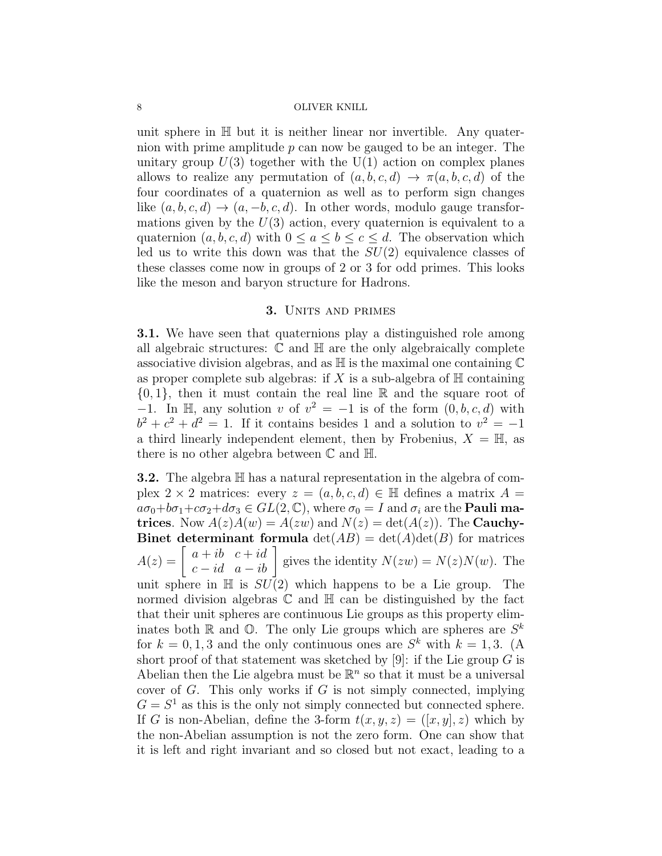unit sphere in  $\mathbb H$  but it is neither linear nor invertible. Any quaternion with prime amplitude  $p$  can now be gauged to be an integer. The unitary group  $U(3)$  together with the  $U(1)$  action on complex planes allows to realize any permutation of  $(a, b, c, d) \rightarrow \pi(a, b, c, d)$  of the four coordinates of a quaternion as well as to perform sign changes like  $(a, b, c, d) \rightarrow (a, -b, c, d)$ . In other words, modulo gauge transformations given by the  $U(3)$  action, every quaternion is equivalent to a quaternion  $(a, b, c, d)$  with  $0 \le a \le b \le c \le d$ . The observation which led us to write this down was that the  $SU(2)$  equivalence classes of these classes come now in groups of 2 or 3 for odd primes. This looks like the meson and baryon structure for Hadrons.

### 3. UNITS AND PRIMES

3.1. We have seen that quaternions play a distinguished role among all algebraic structures:  $\mathbb C$  and  $\mathbb H$  are the only algebraically complete associative division algebras, and as  $\mathbb H$  is the maximal one containing  $\mathbb C$ as proper complete sub algebras: if X is a sub-algebra of  $\mathbb H$  containing  $\{0,1\}$ , then it must contain the real line R and the square root of −1. In H, any solution v of  $v^2 = -1$  is of the form  $(0, b, c, d)$  with  $b^2 + c^2 + d^2 = 1$ . If it contains besides 1 and a solution to  $v^2 = -1$ a third linearly independent element, then by Frobenius,  $X = \mathbb{H}$ , as there is no other algebra between  $\mathbb C$  and  $\mathbb H$ .

**3.2.** The algebra  $\mathbb{H}$  has a natural representation in the algebra of complex 2 × 2 matrices: every  $z = (a, b, c, d) \in \mathbb{H}$  defines a matrix  $A =$  $a\sigma_0+b\sigma_1+c\sigma_2+d\sigma_3 \in GL(2,\mathbb{C})$ , where  $\sigma_0=I$  and  $\sigma_i$  are the **Pauli ma**trices. Now  $A(z)A(w) = A(zw)$  and  $N(z) = det(A(z))$ . The Cauchy-**Binet determinant formula**  $\det(AB) = \det(A)\det(B)$  for matrices  $A(z) = \begin{bmatrix} a+ib & c+id \\ c-id & a-ib \end{bmatrix}$  gives the identity  $N(zw) = N(z)N(w)$ . The unit sphere in  $\mathbb H$  is  $SU(2)$  which happens to be a Lie group. The normed division algebras  $\mathbb C$  and  $\mathbb H$  can be distinguished by the fact that their unit spheres are continuous Lie groups as this property eliminates both  $\mathbb R$  and  $\mathbb O$ . The only Lie groups which are spheres are  $S^k$ for  $k = 0, 1, 3$  and the only continuous ones are  $S<sup>k</sup>$  with  $k = 1, 3$ . (A short proof of that statement was sketched by [9]: if the Lie group  $G$  is Abelian then the Lie algebra must be  $\mathbb{R}^n$  so that it must be a universal cover of  $G$ . This only works if  $G$  is not simply connected, implying  $G = S<sup>1</sup>$  as this is the only not simply connected but connected sphere. If G is non-Abelian, define the 3-form  $t(x, y, z) = (x, y, z)$  which by the non-Abelian assumption is not the zero form. One can show that it is left and right invariant and so closed but not exact, leading to a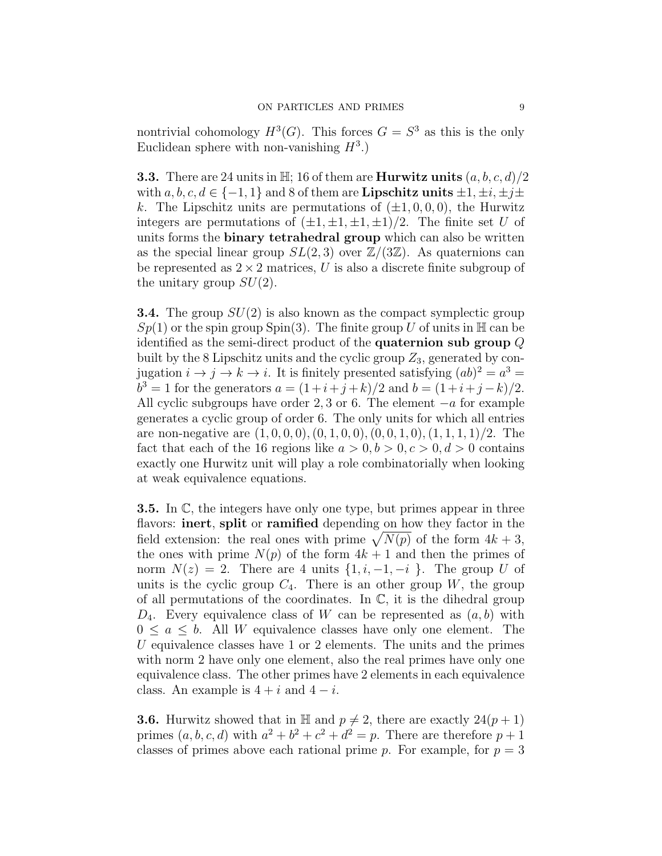nontrivial cohomology  $H^3(G)$ . This forces  $G = S^3$  as this is the only Euclidean sphere with non-vanishing  $H^3$ .)

**3.3.** There are 24 units in  $\mathbb{H}$ ; 16 of them are **Hurwitz units**  $(a, b, c, d)/2$ with  $a, b, c, d \in \{-1, 1\}$  and 8 of them are **Lipschitz units**  $\pm 1, \pm i, \pm j\pm j$ k. The Lipschitz units are permutations of  $(\pm 1, 0, 0, 0)$ , the Hurwitz integers are permutations of  $(\pm 1, \pm 1, \pm 1, \pm 1)/2$ . The finite set U of units forms the binary tetrahedral group which can also be written as the special linear group  $SL(2,3)$  over  $\mathbb{Z}/(3\mathbb{Z})$ . As quaternions can be represented as  $2 \times 2$  matrices, U is also a discrete finite subgroup of the unitary group  $SU(2)$ .

**3.4.** The group  $SU(2)$  is also known as the compact symplectic group  $Sp(1)$  or the spin group Spin(3). The finite group U of units in H can be identified as the semi-direct product of the quaternion sub group Q built by the 8 Lipschitz units and the cyclic group  $Z_3$ , generated by conjugation  $i \to j \to k \to i$ . It is finitely presented satisfying  $(ab)^2 = a^3 =$  $b^3 = 1$  for the generators  $a = (1 + i + j + k)/2$  and  $b = (1 + i + j - k)/2$ . All cyclic subgroups have order 2, 3 or 6. The element  $-a$  for example generates a cyclic group of order 6. The only units for which all entries are non-negative are  $(1, 0, 0, 0), (0, 1, 0, 0), (0, 0, 1, 0), (1, 1, 1, 1)/2$ . The fact that each of the 16 regions like  $a > 0, b > 0, c > 0, d > 0$  contains exactly one Hurwitz unit will play a role combinatorially when looking at weak equivalence equations.

**3.5.** In  $\mathbb{C}$ , the integers have only one type, but primes appear in three flavors: **inert**, **split** or **ramified** depending on how they factor in the field extension: the real ones with prime  $\sqrt{N(p)}$  of the form  $4k + 3$ , the ones with prime  $N(p)$  of the form  $4k + 1$  and then the primes of norm  $N(z) = 2$ . There are 4 units  $\{1, i, -1, -i\}$ . The group U of units is the cyclic group  $C_4$ . There is an other group W, the group of all permutations of the coordinates. In  $\mathbb{C}$ , it is the dihedral group  $D_4$ . Every equivalence class of W can be represented as  $(a, b)$  with  $0 \leq a \leq b$ . All W equivalence classes have only one element. The U equivalence classes have 1 or 2 elements. The units and the primes with norm 2 have only one element, also the real primes have only one equivalence class. The other primes have 2 elements in each equivalence class. An example is  $4 + i$  and  $4 - i$ .

**3.6.** Hurwitz showed that in  $\mathbb{H}$  and  $p \neq 2$ , there are exactly  $24(p + 1)$ primes  $(a, b, c, d)$  with  $a^2 + b^2 + c^2 + d^2 = p$ . There are therefore  $p + 1$ classes of primes above each rational prime p. For example, for  $p = 3$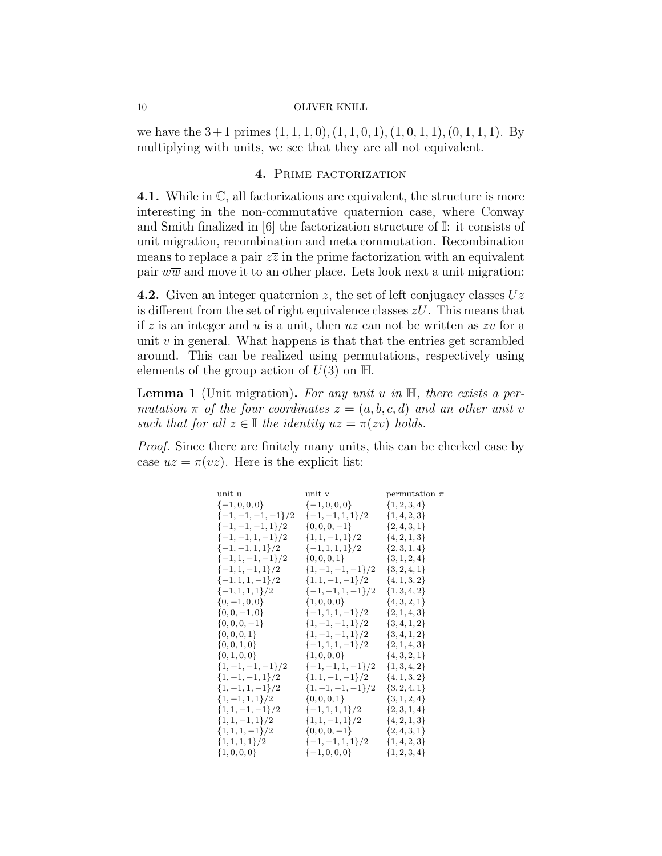we have the  $3+1$  primes  $(1, 1, 1, 0), (1, 1, 0, 1), (1, 0, 1, 1), (0, 1, 1, 1)$ . By multiplying with units, we see that they are all not equivalent.

# 4. PRIME FACTORIZATION

4.1. While in C, all factorizations are equivalent, the structure is more interesting in the non-commutative quaternion case, where Conway and Smith finalized in [6] the factorization structure of I: it consists of unit migration, recombination and meta commutation. Recombination means to replace a pair  $z\overline{z}$  in the prime factorization with an equivalent pair  $w\overline{w}$  and move it to an other place. Lets look next a unit migration:

4.2. Given an integer quaternion z, the set of left conjugacy classes  $Uz$ is different from the set of right equivalence classes  $zU$ . This means that if z is an integer and u is a unit, then  $uz$  can not be written as zv for a unit  $v$  in general. What happens is that that the entries get scrambled around. This can be realized using permutations, respectively using elements of the group action of  $U(3)$  on  $\mathbb{H}$ .

**Lemma 1** (Unit migration). For any unit  $u$  in  $\mathbb{H}$ , there exists a permutation  $\pi$  of the four coordinates  $z = (a, b, c, d)$  and an other unit v such that for all  $z \in \mathbb{I}$  the identity  $uz = \pi(zv)$  holds.

Proof. Since there are finitely many units, this can be checked case by case  $uz = \pi(vz)$ . Here is the explicit list:

| unit u                                | unit v                           | permutation $\pi$ |
|---------------------------------------|----------------------------------|-------------------|
| $\{-1,0,0,0\}$                        | $\{-1,0,0,0\}$                   | $\{1, 2, 3, 4\}$  |
| $\{-1,-1,-1,-1\}/2$ $\{-1,-1,1,1\}/2$ |                                  | $\{1, 4, 2, 3\}$  |
| $\{-1,-1,-1,1\}/2$                    | $\{0, 0, 0, -1\}$                | $\{2,4,3,1\}$     |
| $\{-1,-1,1,-1\}/2$                    | $\{1, 1, -1, 1\}/2$              | $\{4, 2, 1, 3\}$  |
| $\{-1,-1,1,1\}/2$                     | $\{-1, 1, 1, 1\}/2$              | $\{2,3,1,4\}$     |
| $\{-1, 1, -1, -1\}/2$                 | $\{0, 0, 0, 1\}$                 | $\{3, 1, 2, 4\}$  |
| $\{-1, 1, -1, 1\}/2$                  | $\{1, -1, -1, -1\}/2$            | $\{3, 2, 4, 1\}$  |
| $\{-1, 1, 1, -1\}/2$                  | $\{1, 1, -1, -1\}/2$             | $\{4, 1, 3, 2\}$  |
| $\{-1, 1, 1, 1\}/2$                   | $\{-1,-1,1,-1\}/2$ $\{1,3,4,2\}$ |                   |
| $\{0, -1, 0, 0\}$                     | $\{1,0,0,0\}$                    | $\{4,3,2,1\}$     |
| $\{0, 0, -1, 0\}$                     | $\{-1, 1, 1, -1\}/2$             | $\{2, 1, 4, 3\}$  |
| $\{0, 0, 0, -1\}$                     | $\{1, -1, -1, 1\}/2$             | $\{3, 4, 1, 2\}$  |
| $\{0,0,0,1\}$                         | $\{1, -1, -1, 1\}/2$             | $\{3,4,1,2\}$     |
| $\{0, 0, 1, 0\}$                      | $\{-1, 1, 1, -1\}/2$             | $\{2, 1, 4, 3\}$  |
| $\{0, 1, 0, 0\}$                      | $\{1,0,0,0\}$                    | $\{4,3,2,1\}$     |
| $\{1, -1, -1, -1\}/2$                 | $\{-1,-1,1,-1\}/2$               | $\{1,3,4,2\}$     |
| $\{1, -1, -1, 1\}/2$                  | $\{1, 1, -1, -1\}/2$             | $\{4, 1, 3, 2\}$  |
| $\{1, -1, 1, -1\}/2$                  | $\{1, -1, -1, -1\}/2$            | $\{3, 2, 4, 1\}$  |
| $\{1, -1, 1, 1\}/2$                   | $\{0, 0, 0, 1\}$                 | $\{3, 1, 2, 4\}$  |
| $\{1, 1, -1, -1\}/2$                  | $\{-1, 1, 1, 1\}/2$              | $\{2,3,1,4\}$     |
| $\{1, 1, -1, 1\}/2$                   | $\{1, 1, -1, 1\}/2$              | $\{4, 2, 1, 3\}$  |
| $\{1, 1, 1, -1\}/2$                   | $\{0, 0, 0, -1\}$                | $\{2,4,3,1\}$     |
| $\{1,1,1,1\}/2$                       | $\{-1,-1,1,1\}/2$                | $\{1,4,2,3\}$     |
| $\{1,0,0,0\}$                         | $\{-1,0,0,0\}$                   | $\{1, 2, 3, 4\}$  |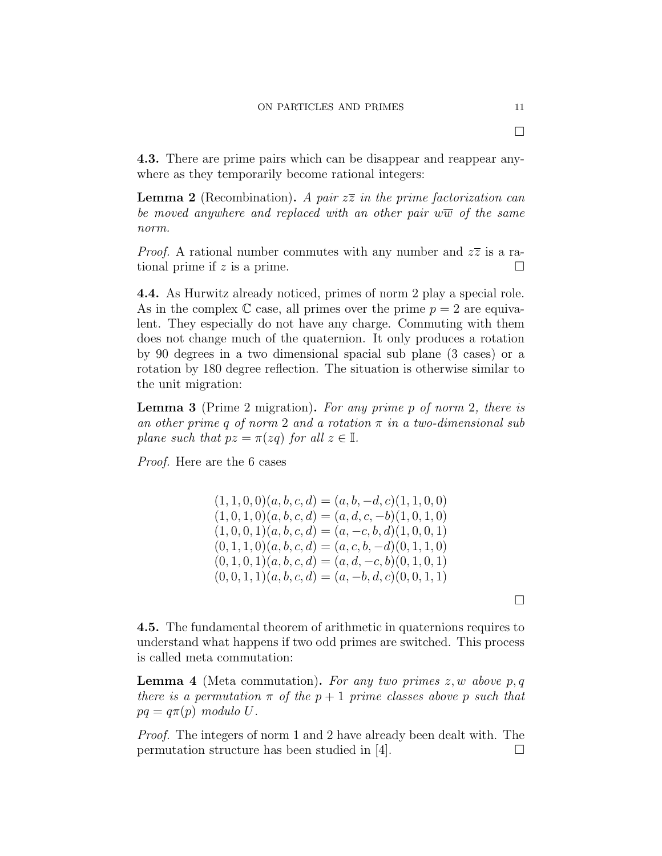4.3. There are prime pairs which can be disappear and reappear anywhere as they temporarily become rational integers:

**Lemma 2** (Recombination). A pair  $z\overline{z}$  in the prime factorization can be moved anywhere and replaced with an other pair  $w\overline{w}$  of the same norm.

*Proof.* A rational number commutes with any number and  $z\overline{z}$  is a rational prime if z is a prime.

4.4. As Hurwitz already noticed, primes of norm 2 play a special role. As in the complex  $\mathbb C$  case, all primes over the prime  $p = 2$  are equivalent. They especially do not have any charge. Commuting with them does not change much of the quaternion. It only produces a rotation by 90 degrees in a two dimensional spacial sub plane (3 cases) or a rotation by 180 degree reflection. The situation is otherwise similar to the unit migration:

Lemma 3 (Prime 2 migration). For any prime p of norm 2, there is an other prime q of norm 2 and a rotation  $\pi$  in a two-dimensional sub plane such that  $pz = \pi(zq)$  for all  $z \in \mathbb{I}$ .

> $(1, 1, 0, 0)(a, b, c, d) = (a, b, -d, c)(1, 1, 0, 0)$  $(1, 0, 1, 0), (a, b, c, d) = (a, d, c, -b), (1, 0, 1, 0)$  $(1, 0, 0, 1)(a, b, c, d) = (a, -c, b, d)(1, 0, 0, 1)$  $(0, 1, 1, 0), (a, b, c, d) = (a, c, b, -d), (0, 1, 1, 0)$  $(0, 1, 0, 1)(a, b, c, d) = (a, d, -c, b)(0, 1, 0, 1)$  $(0, 0, 1, 1)(a, b, c, d) = (a, -b, d, c)(0, 0, 1, 1)$

Proof. Here are the 6 cases

4.5. The fundamental theorem of arithmetic in quaternions requires to understand what happens if two odd primes are switched. This process is called meta commutation:

**Lemma 4** (Meta commutation). For any two primes  $z, w$  above p, q there is a permutation  $\pi$  of the  $p + 1$  prime classes above p such that  $pq = q\pi(p) \text{ modulo } U.$ 

Proof. The integers of norm 1 and 2 have already been dealt with. The permutation structure has been studied in [4].  $\Box$ 

 $\Box$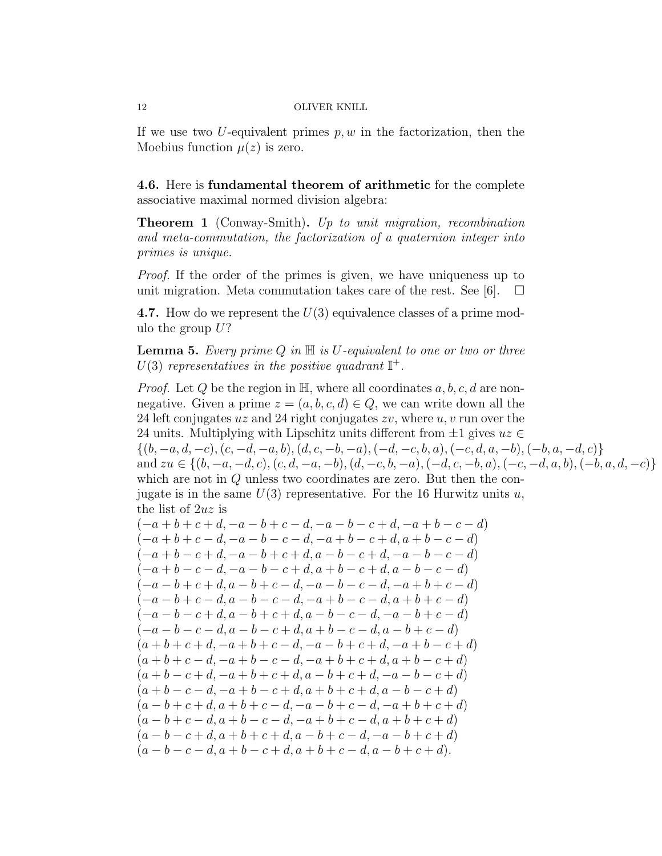If we use two U-equivalent primes  $p, w$  in the factorization, then the Moebius function  $\mu(z)$  is zero.

4.6. Here is fundamental theorem of arithmetic for the complete associative maximal normed division algebra:

**Theorem 1** (Conway-Smith). Up to unit migration, recombination and meta-commutation, the factorization of a quaternion integer into primes is unique.

Proof. If the order of the primes is given, we have uniqueness up to unit migration. Meta commutation takes care of the rest. See [6].  $\Box$ 

**4.7.** How do we represent the  $U(3)$  equivalence classes of a prime modulo the group  $U$ ?

**Lemma 5.** Every prime  $Q$  in  $\mathbb{H}$  is U-equivalent to one or two or three  $U(3)$  representatives in the positive quadrant  $\mathbb{I}^+$ .

*Proof.* Let Q be the region in  $\mathbb{H}$ , where all coordinates a, b, c, d are nonnegative. Given a prime  $z = (a, b, c, d) \in Q$ , we can write down all the 24 left conjugates uz and 24 right conjugates  $zv$ , where u, v run over the 24 units. Multiplying with Lipschitz units different from  $\pm 1$  gives  $uz \in$  $\{(b, -a, d, -c), (c, -d, -a, b), (d, c, -b, -a), (-d, -c, b, a), (-c, d, a, -b), (-b, a, -d, c)\}\$ and  $zu \in \{(b, -a, -d, c), (c, d, -a, -b), (d, -c, b, -a), (-d, c, -b, a), (-c, -d, a, b), (-b, a, d, -c)\}\$ which are not in Q unless two coordinates are zero. But then the conjugate is in the same  $U(3)$  representative. For the 16 Hurwitz units u, the list of 2uz is  $(-a + b + c + d, -a - b + c - d, -a - b - c + d, -a + b - c - d)$  $(-a + b + c - d, -a - b - c - d, -a + b - c + d, a + b - c - d)$  $(-a + b - c + d, -a - b + c + d, a - b - c + d, -a - b - c - d)$  $(-a + b - c - d, -a - b - c + d, a + b - c + d, a - b - c - d)$  $(-a - b + c + d, a - b + c - d, -a - b - c - d, -a + b + c - d)$  $(-a - b + c - d, a - b - c - d, -a + b - c - d, a + b + c - d)$  $(-a - b - c + d, a - b + c + d, a - b - c - d, -a - b + c - d)$  $(-a - b - c - d, a - b - c + d, a + b - c - d, a - b + c - d)$  $(a + b + c + d, -a + b + c - d, -a - b + c + d, -a + b - c + d)$  $(a + b + c - d, -a + b - c - d, -a + b + c + d, a + b - c + d)$  $(a + b - c + d, -a + b + c + d, a - b + c + d, -a - b - c + d)$  $(a + b - c - d, -a + b - c + d, a + b + c + d, a - b - c + d)$  $(a - b + c + d, a + b + c - d, -a - b + c - d, -a + b + c + d)$  $(a - b + c - d, a + b - c - d, -a + b + c - d, a + b + c + d)$  $(a - b - c + d, a + b + c + d, a - b + c - d, -a - b + c + d)$  $(a - b - c - d, a + b - c + d, a + b + c - d, a - b + c + d).$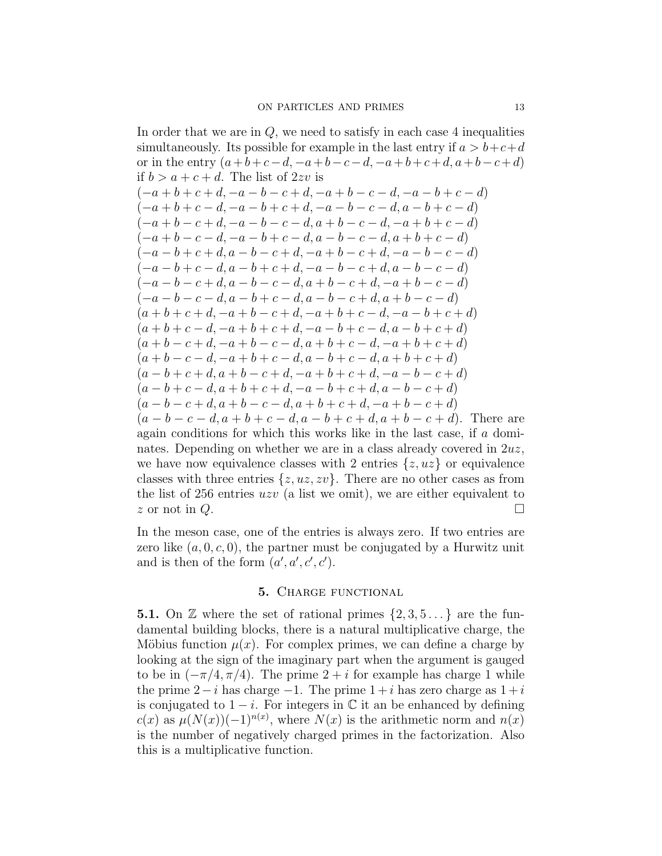In order that we are in  $Q$ , we need to satisfy in each case 4 inequalities simultaneously. Its possible for example in the last entry if  $a > b+c+d$ or in the entry  $(a+b+c-d, -a+b-c-d, -a+b+c+d, a+b-c+d)$ if  $b > a + c + d$ . The list of  $2zv$  is  $(-a + b + c + d, -a - b - c + d, -a + b - c - d, -a - b + c - d)$  $(-a + b + c - d, -a - b + c + d, -a - b - c - d, a - b + c - d)$  $(-a + b - c + d, -a - b - c - d, a + b - c - d, -a + b + c - d)$  $(-a + b - c - d, -a - b + c - d, a - b - c - d, a + b + c - d)$  $(-a - b + c + d, a - b - c + d, -a + b - c + d, -a - b - c - d)$  $(-a - b + c - d, a - b + c + d, -a - b - c + d, a - b - c - d)$  $(-a - b - c + d, a - b - c - d, a + b - c + d, -a + b - c - d)$  $(-a - b - c - d, a - b + c - d, a - b - c + d, a + b - c - d)$  $(a + b + c + d, -a + b - c + d, -a + b + c - d, -a - b + c + d)$  $(a + b + c - d, -a + b + c + d, -a - b + c - d, a - b + c + d)$  $(a + b - c + d, -a + b - c - d, a + b + c - d, -a + b + c + d)$  $(a + b - c - d, -a + b + c - d, a - b + c - d, a + b + c + d)$  $(a - b + c + d, a + b - c + d, -a + b + c + d, -a - b - c + d)$  $(a - b + c - d, a + b + c + d, -a - b + c + d, a - b - c + d)$  $(a - b - c + d, a + b - c - d, a + b + c + d, -a + b - c + d)$  $(a - b - c - d, a + b + c - d, a - b + c + d, a + b - c + d)$ . There are again conditions for which this works like in the last case, if a dominates. Depending on whether we are in a class already covered in  $2uz$ , we have now equivalence classes with 2 entries  $\{z, uz\}$  or equivalence classes with three entries  $\{z, uz, zv\}$ . There are no other cases as from the list of 256 entries  $uzv$  (a list we omit), we are either equivalent to z or not in  $Q$ .

In the meson case, one of the entries is always zero. If two entries are zero like  $(a, 0, c, 0)$ , the partner must be conjugated by a Hurwitz unit and is then of the form  $(a', a', c', c')$ .

### 5. CHARGE FUNCTIONAL

**5.1.** On  $\mathbb{Z}$  where the set of rational primes  $\{2, 3, 5 \dots\}$  are the fundamental building blocks, there is a natural multiplicative charge, the Möbius function  $\mu(x)$ . For complex primes, we can define a charge by looking at the sign of the imaginary part when the argument is gauged to be in  $(-\pi/4, \pi/4)$ . The prime  $2 + i$  for example has charge 1 while the prime  $2-i$  has charge  $-1$ . The prime  $1+i$  has zero charge as  $1+i$ is conjugated to  $1 - i$ . For integers in  $\mathbb C$  it an be enhanced by defining  $c(x)$  as  $\mu(N(x))(-1)^{n(x)}$ , where  $N(x)$  is the arithmetic norm and  $n(x)$ is the number of negatively charged primes in the factorization. Also this is a multiplicative function.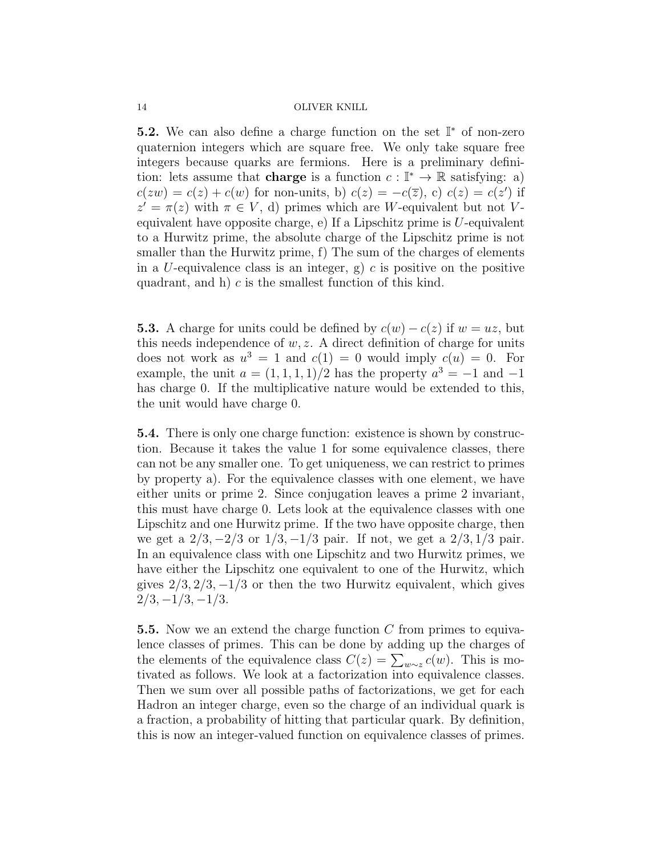**5.2.** We can also define a charge function on the set  $\mathbb{I}^*$  of non-zero quaternion integers which are square free. We only take square free integers because quarks are fermions. Here is a preliminary definition: lets assume that **charge** is a function  $c: \mathbb{I}^* \to \mathbb{R}$  satisfying: a)  $c(zw) = c(z) + c(w)$  for non-units, b)  $c(z) = -c(\overline{z})$ , c)  $c(z) = c(z')$  if  $z' = \pi(z)$  with  $\pi \in V$ , d) primes which are W-equivalent but not Vequivalent have opposite charge, e) If a Lipschitz prime is  $U$ -equivalent to a Hurwitz prime, the absolute charge of the Lipschitz prime is not smaller than the Hurwitz prime, f) The sum of the charges of elements in a U-equivalence class is an integer, g) c is positive on the positive quadrant, and h)  $c$  is the smallest function of this kind.

**5.3.** A charge for units could be defined by  $c(w) - c(z)$  if  $w = uz$ , but this needs independence of  $w, z$ . A direct definition of charge for units does not work as  $u^3 = 1$  and  $c(1) = 0$  would imply  $c(u) = 0$ . For example, the unit  $a = (1, 1, 1, 1)/2$  has the property  $a^3 = -1$  and  $-1$ has charge 0. If the multiplicative nature would be extended to this, the unit would have charge 0.

5.4. There is only one charge function: existence is shown by construction. Because it takes the value 1 for some equivalence classes, there can not be any smaller one. To get uniqueness, we can restrict to primes by property a). For the equivalence classes with one element, we have either units or prime 2. Since conjugation leaves a prime 2 invariant, this must have charge 0. Lets look at the equivalence classes with one Lipschitz and one Hurwitz prime. If the two have opposite charge, then we get a  $2/3$ ,  $-2/3$  or  $1/3$ ,  $-1/3$  pair. If not, we get a  $2/3$ ,  $1/3$  pair. In an equivalence class with one Lipschitz and two Hurwitz primes, we have either the Lipschitz one equivalent to one of the Hurwitz, which gives  $2/3$ ,  $2/3$ ,  $-1/3$  or then the two Hurwitz equivalent, which gives  $2/3, -1/3, -1/3.$ 

**5.5.** Now we an extend the charge function  $C$  from primes to equivalence classes of primes. This can be done by adding up the charges of the elements of the equivalence class  $C(z) = \sum_{w \sim z} c(w)$ . This is motivated as follows. We look at a factorization into equivalence classes. Then we sum over all possible paths of factorizations, we get for each Hadron an integer charge, even so the charge of an individual quark is a fraction, a probability of hitting that particular quark. By definition, this is now an integer-valued function on equivalence classes of primes.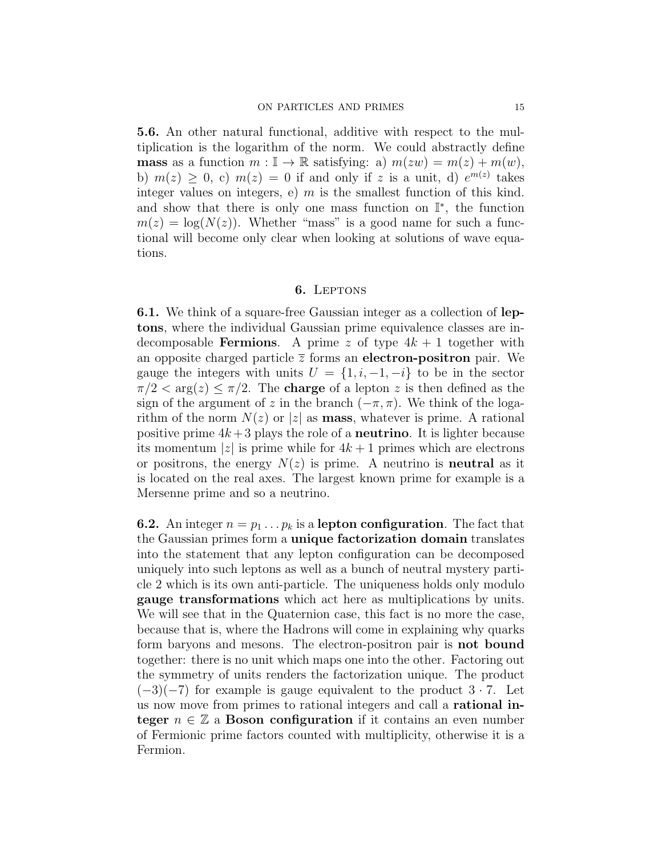5.6. An other natural functional, additive with respect to the multiplication is the logarithm of the norm. We could abstractly define **mass** as a function  $m : \mathbb{I} \to \mathbb{R}$  satisfying: a)  $m(zw) = m(z) + m(w)$ , b)  $m(z) \geq 0$ , c)  $m(z) = 0$  if and only if z is a unit, d)  $e^{m(z)}$  takes integer values on integers, e)  $m$  is the smallest function of this kind. and show that there is only one mass function on  $\mathbb{I}^*$ , the function  $m(z) = \log(N(z))$ . Whether "mass" is a good name for such a functional will become only clear when looking at solutions of wave equations.

### 6. Leptons

6.1. We think of a square-free Gaussian integer as a collection of leptons, where the individual Gaussian prime equivalence classes are indecomposable **Fermions**. A prime z of type  $4k + 1$  together with an opposite charged particle  $\bar{z}$  forms an electron-positron pair. We gauge the integers with units  $U = \{1, i, -1, -i\}$  to be in the sector  $\pi/2 < \arg(z) \leq \pi/2$ . The **charge** of a lepton z is then defined as the sign of the argument of z in the branch  $(-\pi, \pi)$ . We think of the logarithm of the norm  $N(z)$  or |z| as **mass**, whatever is prime. A rational positive prime  $4k+3$  plays the role of a **neutrino**. It is lighter because its momentum |z| is prime while for  $4k + 1$  primes which are electrons or positrons, the energy  $N(z)$  is prime. A neutrino is **neutral** as it is located on the real axes. The largest known prime for example is a Mersenne prime and so a neutrino.

**6.2.** An integer  $n = p_1 \dots p_k$  is a **lepton configuration**. The fact that the Gaussian primes form a unique factorization domain translates into the statement that any lepton configuration can be decomposed uniquely into such leptons as well as a bunch of neutral mystery particle 2 which is its own anti-particle. The uniqueness holds only modulo gauge transformations which act here as multiplications by units. We will see that in the Quaternion case, this fact is no more the case, because that is, where the Hadrons will come in explaining why quarks form baryons and mesons. The electron-positron pair is not bound together: there is no unit which maps one into the other. Factoring out the symmetry of units renders the factorization unique. The product  $(-3)(-7)$  for example is gauge equivalent to the product  $3 \cdot 7$ . Let us now move from primes to rational integers and call a rational integer  $n \in \mathbb{Z}$  a Boson configuration if it contains an even number of Fermionic prime factors counted with multiplicity, otherwise it is a Fermion.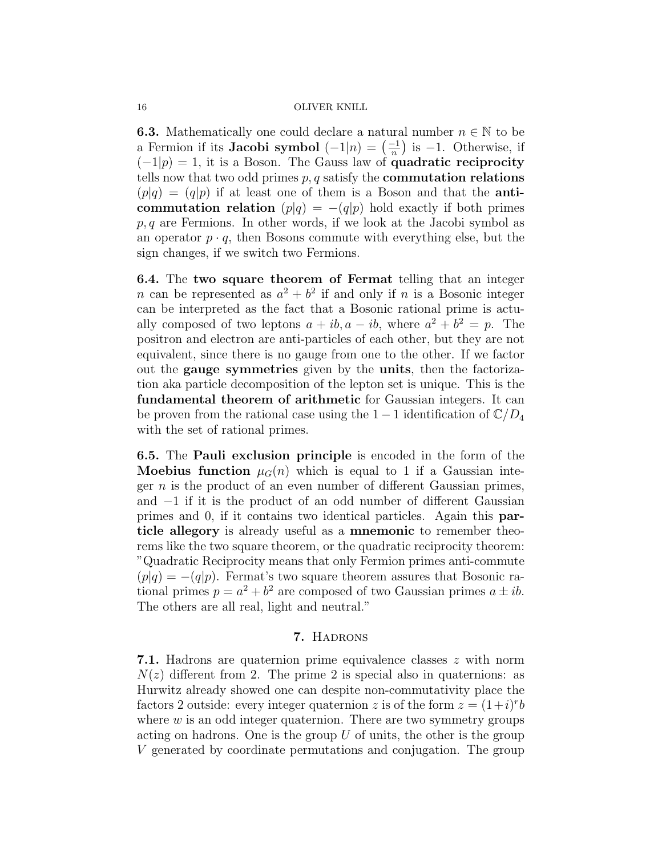**6.3.** Mathematically one could declare a natural number  $n \in \mathbb{N}$  to be a Fermion if its **Jacobi symbol**  $(-1|n) = \left(\frac{-1}{n}\right)^n$  $\frac{-1}{n}$ ) is -1. Otherwise, if  $(-1|p) = 1$ , it is a Boson. The Gauss law of **quadratic reciprocity** tells now that two odd primes  $p, q$  satisfy the **commutation relations**  $(p|q) = (q|p)$  if at least one of them is a Boson and that the **anti**commutation relation  $(p|q) = -(q|p)$  hold exactly if both primes  $p, q$  are Fermions. In other words, if we look at the Jacobi symbol as an operator  $p \cdot q$ , then Bosons commute with everything else, but the sign changes, if we switch two Fermions.

6.4. The two square theorem of Fermat telling that an integer *n* can be represented as  $a^2 + b^2$  if and only if *n* is a Bosonic integer can be interpreted as the fact that a Bosonic rational prime is actually composed of two leptons  $a + ib$ ,  $a - ib$ , where  $a^2 + b^2 = p$ . The positron and electron are anti-particles of each other, but they are not equivalent, since there is no gauge from one to the other. If we factor out the gauge symmetries given by the units, then the factorization aka particle decomposition of the lepton set is unique. This is the fundamental theorem of arithmetic for Gaussian integers. It can be proven from the rational case using the  $1-1$  identification of  $\mathbb{C}/D_4$ with the set of rational primes.

6.5. The Pauli exclusion principle is encoded in the form of the **Moebius function**  $\mu_G(n)$  which is equal to 1 if a Gaussian integer  $n$  is the product of an even number of different Gaussian primes, and −1 if it is the product of an odd number of different Gaussian primes and 0, if it contains two identical particles. Again this particle allegory is already useful as a mnemonic to remember theorems like the two square theorem, or the quadratic reciprocity theorem: "Quadratic Reciprocity means that only Fermion primes anti-commute  $(p|q) = -(q|p)$ . Fermat's two square theorem assures that Bosonic rational primes  $p = a^2 + b^2$  are composed of two Gaussian primes  $a \pm ib$ . The others are all real, light and neutral."

### 7. Hadrons

7.1. Hadrons are quaternion prime equivalence classes z with norm  $N(z)$  different from 2. The prime 2 is special also in quaternions: as Hurwitz already showed one can despite non-commutativity place the factors 2 outside: every integer quaternion z is of the form  $z = (1+i)^{r}b$ where  $w$  is an odd integer quaternion. There are two symmetry groups acting on hadrons. One is the group  $U$  of units, the other is the group V generated by coordinate permutations and conjugation. The group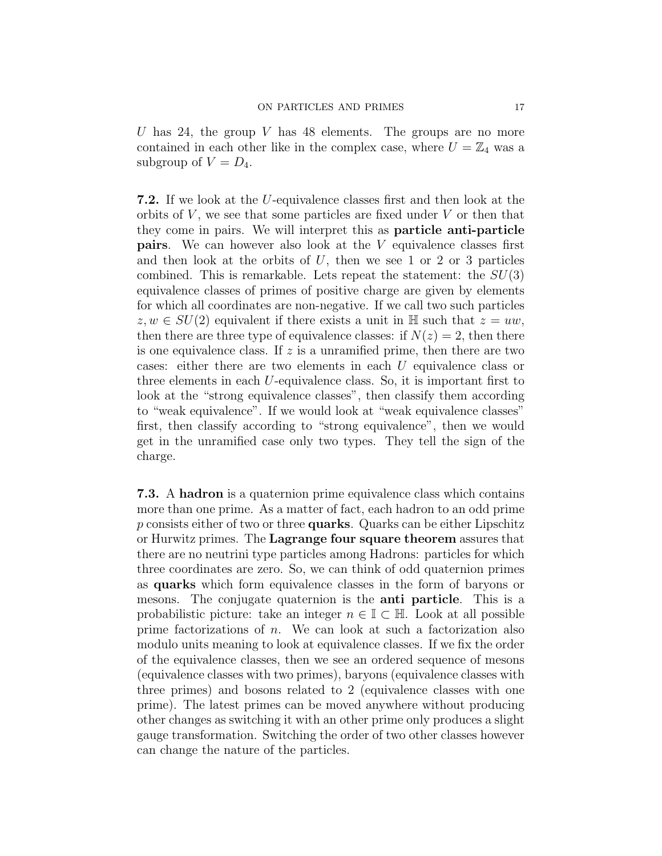U has 24, the group V has 48 elements. The groups are no more contained in each other like in the complex case, where  $U = \mathbb{Z}_4$  was a subgroup of  $V = D_4$ .

7.2. If we look at the U-equivalence classes first and then look at the orbits of  $V$ , we see that some particles are fixed under  $V$  or then that they come in pairs. We will interpret this as particle anti-particle pairs. We can however also look at the V equivalence classes first and then look at the orbits of  $U$ , then we see 1 or 2 or 3 particles combined. This is remarkable. Lets repeat the statement: the  $SU(3)$ equivalence classes of primes of positive charge are given by elements for which all coordinates are non-negative. If we call two such particles  $z, w \in SU(2)$  equivalent if there exists a unit in H such that  $z = uw$ , then there are three type of equivalence classes: if  $N(z) = 2$ , then there is one equivalence class. If  $z$  is a unramified prime, then there are two cases: either there are two elements in each U equivalence class or three elements in each U-equivalence class. So, it is important first to look at the "strong equivalence classes", then classify them according to "weak equivalence". If we would look at "weak equivalence classes" first, then classify according to "strong equivalence", then we would get in the unramified case only two types. They tell the sign of the charge.

7.3. A hadron is a quaternion prime equivalence class which contains more than one prime. As a matter of fact, each hadron to an odd prime p consists either of two or three quarks. Quarks can be either Lipschitz or Hurwitz primes. The Lagrange four square theorem assures that there are no neutrini type particles among Hadrons: particles for which three coordinates are zero. So, we can think of odd quaternion primes as quarks which form equivalence classes in the form of baryons or mesons. The conjugate quaternion is the anti particle. This is a probabilistic picture: take an integer  $n \in \mathbb{I} \subset \mathbb{H}$ . Look at all possible prime factorizations of n. We can look at such a factorization also modulo units meaning to look at equivalence classes. If we fix the order of the equivalence classes, then we see an ordered sequence of mesons (equivalence classes with two primes), baryons (equivalence classes with three primes) and bosons related to 2 (equivalence classes with one prime). The latest primes can be moved anywhere without producing other changes as switching it with an other prime only produces a slight gauge transformation. Switching the order of two other classes however can change the nature of the particles.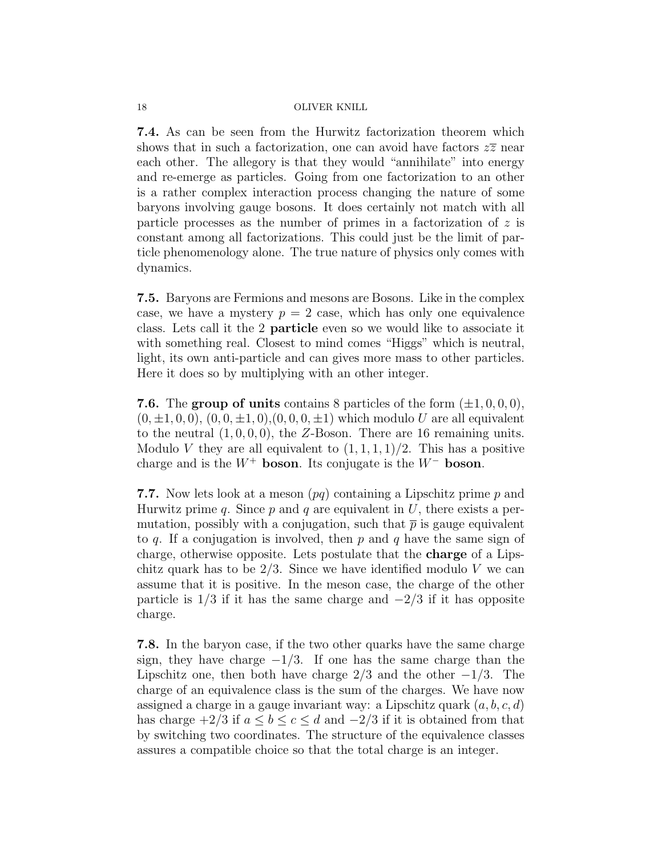7.4. As can be seen from the Hurwitz factorization theorem which shows that in such a factorization, one can avoid have factors  $z\overline{z}$  near each other. The allegory is that they would "annihilate" into energy and re-emerge as particles. Going from one factorization to an other is a rather complex interaction process changing the nature of some baryons involving gauge bosons. It does certainly not match with all particle processes as the number of primes in a factorization of  $z$  is constant among all factorizations. This could just be the limit of particle phenomenology alone. The true nature of physics only comes with dynamics.

7.5. Baryons are Fermions and mesons are Bosons. Like in the complex case, we have a mystery  $p = 2$  case, which has only one equivalence class. Lets call it the 2 particle even so we would like to associate it with something real. Closest to mind comes "Higgs" which is neutral, light, its own anti-particle and can gives more mass to other particles. Here it does so by multiplying with an other integer.

7.6. The group of units contains 8 particles of the form  $(\pm 1, 0, 0, 0)$ ,  $(0, \pm 1, 0, 0), (0, 0, \pm 1, 0), (0, 0, 0, \pm 1)$  which modulo U are all equivalent to the neutral  $(1, 0, 0, 0)$ , the Z-Boson. There are 16 remaining units. Modulo V they are all equivalent to  $(1, 1, 1, 1)/2$ . This has a positive charge and is the  $W^+$  boson. Its conjugate is the  $W^-$  boson.

**7.7.** Now lets look at a meson  $(pq)$  containing a Lipschitz prime p and Hurwitz prime q. Since  $p$  and  $q$  are equivalent in  $U$ , there exists a permutation, possibly with a conjugation, such that  $\bar{p}$  is gauge equivalent to q. If a conjugation is involved, then  $p$  and  $q$  have the same sign of charge, otherwise opposite. Lets postulate that the charge of a Lipschitz quark has to be  $2/3$ . Since we have identified modulo V we can assume that it is positive. In the meson case, the charge of the other particle is  $1/3$  if it has the same charge and  $-2/3$  if it has opposite charge.

7.8. In the baryon case, if the two other quarks have the same charge sign, they have charge  $-1/3$ . If one has the same charge than the Lipschitz one, then both have charge  $2/3$  and the other  $-1/3$ . The charge of an equivalence class is the sum of the charges. We have now assigned a charge in a gauge invariant way: a Lipschitz quark  $(a, b, c, d)$ has charge  $\pm 2/3$  if  $a \le b \le c \le d$  and  $-2/3$  if it is obtained from that by switching two coordinates. The structure of the equivalence classes assures a compatible choice so that the total charge is an integer.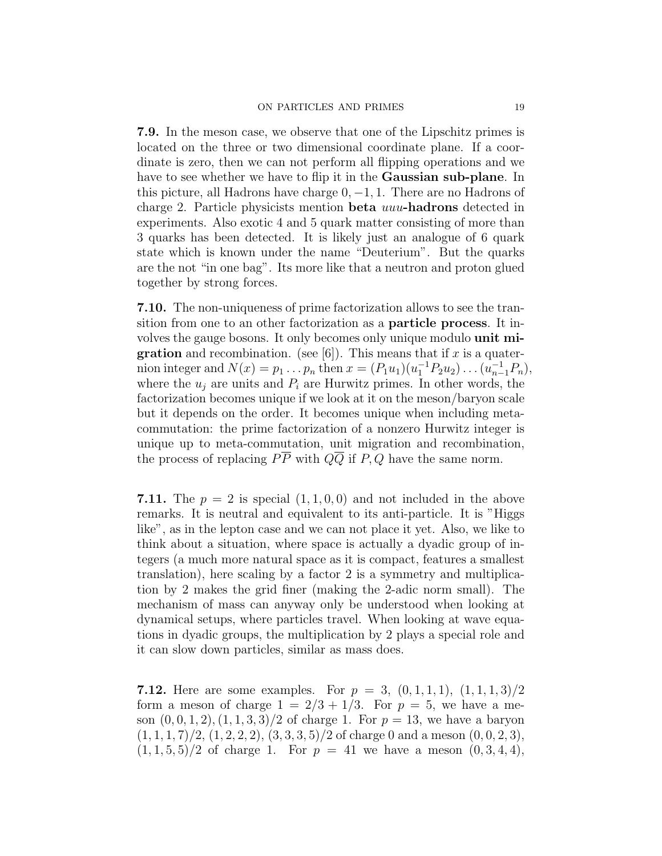7.9. In the meson case, we observe that one of the Lipschitz primes is located on the three or two dimensional coordinate plane. If a coordinate is zero, then we can not perform all flipping operations and we have to see whether we have to flip it in the Gaussian sub-plane. In this picture, all Hadrons have charge  $0, -1, 1$ . There are no Hadrons of charge 2. Particle physicists mention beta uuu-hadrons detected in experiments. Also exotic 4 and 5 quark matter consisting of more than 3 quarks has been detected. It is likely just an analogue of 6 quark state which is known under the name "Deuterium". But the quarks are the not "in one bag". Its more like that a neutron and proton glued together by strong forces.

7.10. The non-uniqueness of prime factorization allows to see the transition from one to an other factorization as a particle process. It involves the gauge bosons. It only becomes only unique modulo unit mi**gration** and recombination. (see [6]). This means that if x is a quaternion integer and  $N(x) = p_1 \dots p_n$  then  $x = (P_1 u_1)(u_1^{-1} P_2 u_2) \dots (u_{n-1}^{-1} P_n)$ , where the  $u_i$  are units and  $P_i$  are Hurwitz primes. In other words, the factorization becomes unique if we look at it on the meson/baryon scale but it depends on the order. It becomes unique when including metacommutation: the prime factorization of a nonzero Hurwitz integer is unique up to meta-commutation, unit migration and recombination, the process of replacing  $P\overline{P}$  with  $Q\overline{Q}$  if P, Q have the same norm.

7.11. The  $p = 2$  is special  $(1, 1, 0, 0)$  and not included in the above remarks. It is neutral and equivalent to its anti-particle. It is "Higgs like", as in the lepton case and we can not place it yet. Also, we like to think about a situation, where space is actually a dyadic group of integers (a much more natural space as it is compact, features a smallest translation), here scaling by a factor 2 is a symmetry and multiplication by 2 makes the grid finer (making the 2-adic norm small). The mechanism of mass can anyway only be understood when looking at dynamical setups, where particles travel. When looking at wave equations in dyadic groups, the multiplication by 2 plays a special role and it can slow down particles, similar as mass does.

**7.12.** Here are some examples. For  $p = 3$ ,  $(0, 1, 1, 1)$ ,  $(1, 1, 1, 3)/2$ form a meson of charge  $1 = 2/3 + 1/3$ . For  $p = 5$ , we have a meson  $(0, 0, 1, 2), (1, 1, 3, 3)/2$  of charge 1. For  $p = 13$ , we have a baryon  $(1, 1, 1, 7)/2$ ,  $(1, 2, 2, 2)$ ,  $(3, 3, 3, 5)/2$  of charge 0 and a meson  $(0, 0, 2, 3)$ ,  $(1, 1, 5, 5)/2$  of charge 1. For  $p = 41$  we have a meson  $(0, 3, 4, 4)$ ,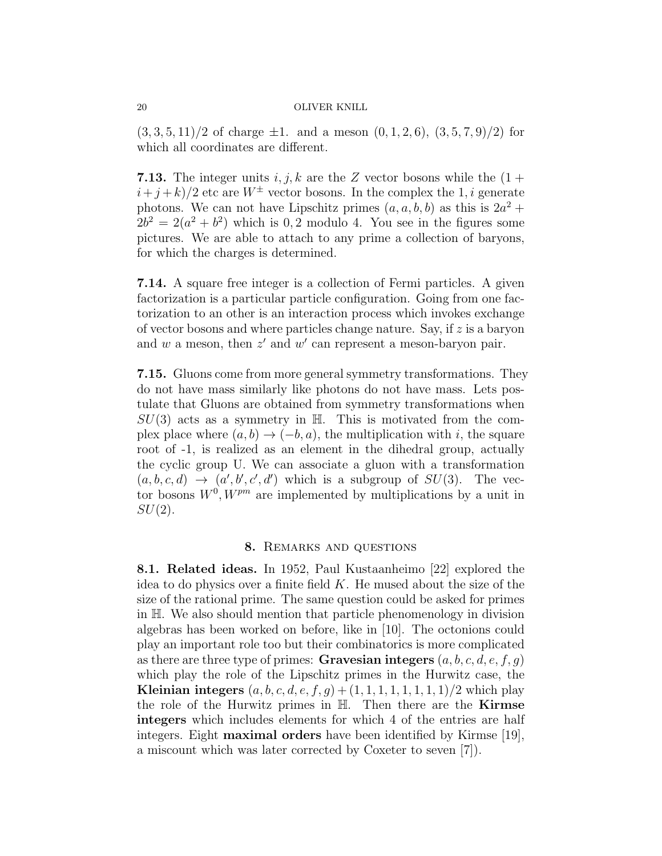$(3, 3, 5, 11)/2$  of charge  $\pm 1$ . and a meson  $(0, 1, 2, 6), (3, 5, 7, 9)/2$  for which all coordinates are different.

**7.13.** The integer units  $i, j, k$  are the Z vector bosons while the  $(1 +$  $(i+j+k)/2$  etc are  $W^{\pm}$  vector bosons. In the complex the 1, i generate photons. We can not have Lipschitz primes  $(a, a, b, b)$  as this is  $2a^2 +$  $2b^2 = 2(a^2 + b^2)$  which is 0,2 modulo 4. You see in the figures some pictures. We are able to attach to any prime a collection of baryons, for which the charges is determined.

7.14. A square free integer is a collection of Fermi particles. A given factorization is a particular particle configuration. Going from one factorization to an other is an interaction process which invokes exchange of vector bosons and where particles change nature. Say, if  $z$  is a baryon and  $w$  a meson, then  $z'$  and  $w'$  can represent a meson-baryon pair.

7.15. Gluons come from more general symmetry transformations. They do not have mass similarly like photons do not have mass. Lets postulate that Gluons are obtained from symmetry transformations when  $SU(3)$  acts as a symmetry in H. This is motivated from the complex place where  $(a, b) \rightarrow (-b, a)$ , the multiplication with i, the square root of -1, is realized as an element in the dihedral group, actually the cyclic group U. We can associate a gluon with a transformation  $(a, b, c, d) \rightarrow (a', b', c', d')$  which is a subgroup of  $SU(3)$ . The vector bosons  $W^0$ ,  $W^{pm}$  are implemented by multiplications by a unit in  $SU(2)$ .

#### 8. Remarks and questions

8.1. Related ideas. In 1952, Paul Kustaanheimo [22] explored the idea to do physics over a finite field  $K$ . He mused about the size of the size of the rational prime. The same question could be asked for primes in H. We also should mention that particle phenomenology in division algebras has been worked on before, like in [10]. The octonions could play an important role too but their combinatorics is more complicated as there are three type of primes: Gravesian integers  $(a, b, c, d, e, f, g)$ which play the role of the Lipschitz primes in the Hurwitz case, the **Kleinian integers**  $(a, b, c, d, e, f, g) + (1, 1, 1, 1, 1, 1, 1, 1)/2$  which play the role of the Hurwitz primes in  $H$ . Then there are the **Kirmse** integers which includes elements for which 4 of the entries are half integers. Eight maximal orders have been identified by Kirmse [19], a miscount which was later corrected by Coxeter to seven [7]).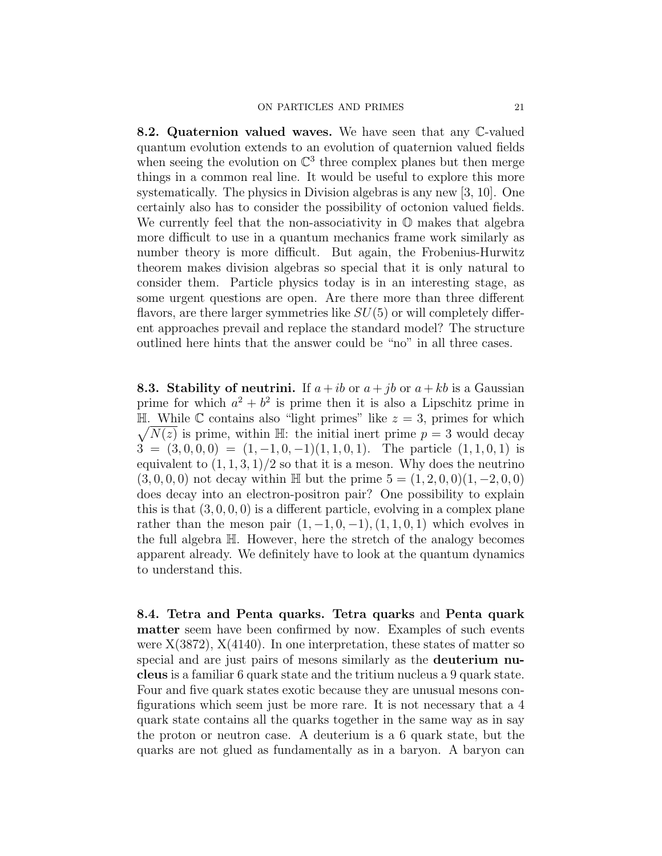8.2. Quaternion valued waves. We have seen that any C-valued quantum evolution extends to an evolution of quaternion valued fields when seeing the evolution on  $\mathbb{C}^3$  three complex planes but then merge things in a common real line. It would be useful to explore this more systematically. The physics in Division algebras is any new [3, 10]. One certainly also has to consider the possibility of octonion valued fields. We currently feel that the non-associativity in  $\mathbb O$  makes that algebra more difficult to use in a quantum mechanics frame work similarly as number theory is more difficult. But again, the Frobenius-Hurwitz theorem makes division algebras so special that it is only natural to consider them. Particle physics today is in an interesting stage, as some urgent questions are open. Are there more than three different flavors, are there larger symmetries like  $SU(5)$  or will completely different approaches prevail and replace the standard model? The structure outlined here hints that the answer could be "no" in all three cases.

**8.3. Stability of neutrini.** If  $a + ib$  or  $a + jb$  or  $a + kb$  is a Gaussian prime for which  $a^2 + b^2$  is prime then it is also a Lipschitz prime in  $\sqrt{N(z)}$  is prime, within H: the initial inert prime  $p = 3$  would decay  $\mathbb{H}$ . While C contains also "light primes" like  $z = 3$ , primes for which  $3 = (3, 0, 0, 0) = (1, -1, 0, -1)(1, 1, 0, 1)$ . The particle  $(1, 1, 0, 1)$  is equivalent to  $(1, 1, 3, 1)/2$  so that it is a meson. Why does the neutrino  $(3, 0, 0, 0)$  not decay within H but the prime  $5 = (1, 2, 0, 0)(1, -2, 0, 0)$ does decay into an electron-positron pair? One possibility to explain this is that  $(3, 0, 0, 0)$  is a different particle, evolving in a complex plane rather than the meson pair  $(1, -1, 0, -1), (1, 1, 0, 1)$  which evolves in the full algebra H. However, here the stretch of the analogy becomes apparent already. We definitely have to look at the quantum dynamics to understand this.

8.4. Tetra and Penta quarks. Tetra quarks and Penta quark matter seem have been confirmed by now. Examples of such events were  $X(3872)$ ,  $X(4140)$ . In one interpretation, these states of matter so special and are just pairs of mesons similarly as the deuterium nucleus is a familiar 6 quark state and the tritium nucleus a 9 quark state. Four and five quark states exotic because they are unusual mesons configurations which seem just be more rare. It is not necessary that a 4 quark state contains all the quarks together in the same way as in say the proton or neutron case. A deuterium is a 6 quark state, but the quarks are not glued as fundamentally as in a baryon. A baryon can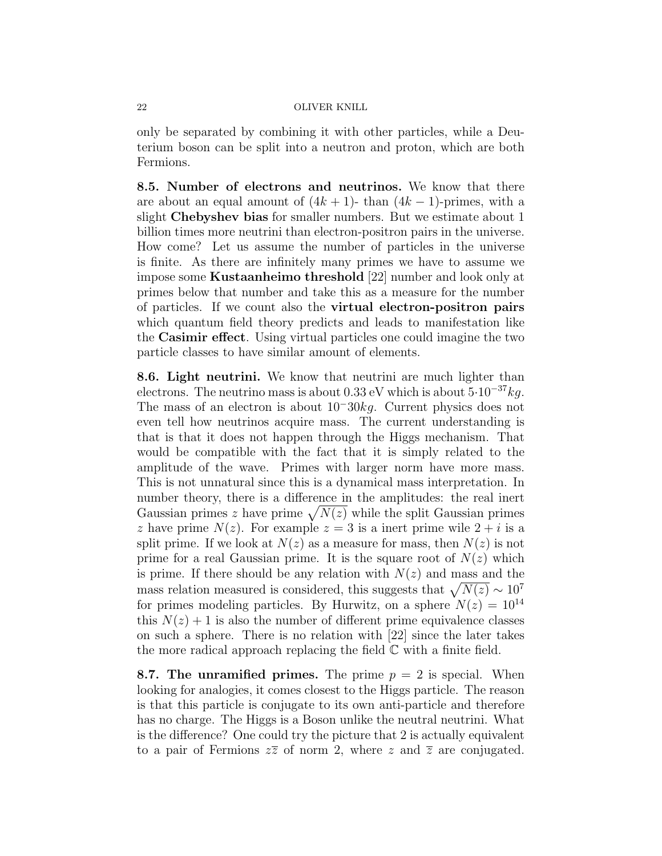only be separated by combining it with other particles, while a Deuterium boson can be split into a neutron and proton, which are both Fermions.

8.5. Number of electrons and neutrinos. We know that there are about an equal amount of  $(4k + 1)$ - than  $(4k - 1)$ -primes, with a slight Chebyshev bias for smaller numbers. But we estimate about 1 billion times more neutrini than electron-positron pairs in the universe. How come? Let us assume the number of particles in the universe is finite. As there are infinitely many primes we have to assume we impose some Kustaanheimo threshold [22] number and look only at primes below that number and take this as a measure for the number of particles. If we count also the virtual electron-positron pairs which quantum field theory predicts and leads to manifestation like the Casimir effect. Using virtual particles one could imagine the two particle classes to have similar amount of elements.

8.6. Light neutrini. We know that neutrini are much lighter than electrons. The neutrino mass is about 0.33 eV which is about  $5.10^{-37}kg$ . The mass of an electron is about 10<sup>−</sup>30kg. Current physics does not even tell how neutrinos acquire mass. The current understanding is that is that it does not happen through the Higgs mechanism. That would be compatible with the fact that it is simply related to the amplitude of the wave. Primes with larger norm have more mass. This is not unnatural since this is a dynamical mass interpretation. In number theory, there is a difference in the amplitudes: the real inert Gaussian primes z have prime  $\sqrt{N(z)}$  while the split Gaussian primes z have prime  $N(z)$ . For example  $z = 3$  is a inert prime wile  $2 + i$  is a split prime. If we look at  $N(z)$  as a measure for mass, then  $N(z)$  is not prime for a real Gaussian prime. It is the square root of  $N(z)$  which is prime. If there should be any relation with  $N(z)$  and mass and the mass relation measured is considered, this suggests that  $\sqrt{N(z)} \sim 10^7$ for primes modeling particles. By Hurwitz, on a sphere  $N(z) = 10^{14}$ this  $N(z) + 1$  is also the number of different prime equivalence classes on such a sphere. There is no relation with [22] since the later takes the more radical approach replacing the field  $\mathbb C$  with a finite field.

**8.7. The unramified primes.** The prime  $p = 2$  is special. When looking for analogies, it comes closest to the Higgs particle. The reason is that this particle is conjugate to its own anti-particle and therefore has no charge. The Higgs is a Boson unlike the neutral neutrini. What is the difference? One could try the picture that 2 is actually equivalent to a pair of Fermions  $z\overline{z}$  of norm 2, where z and  $\overline{z}$  are conjugated.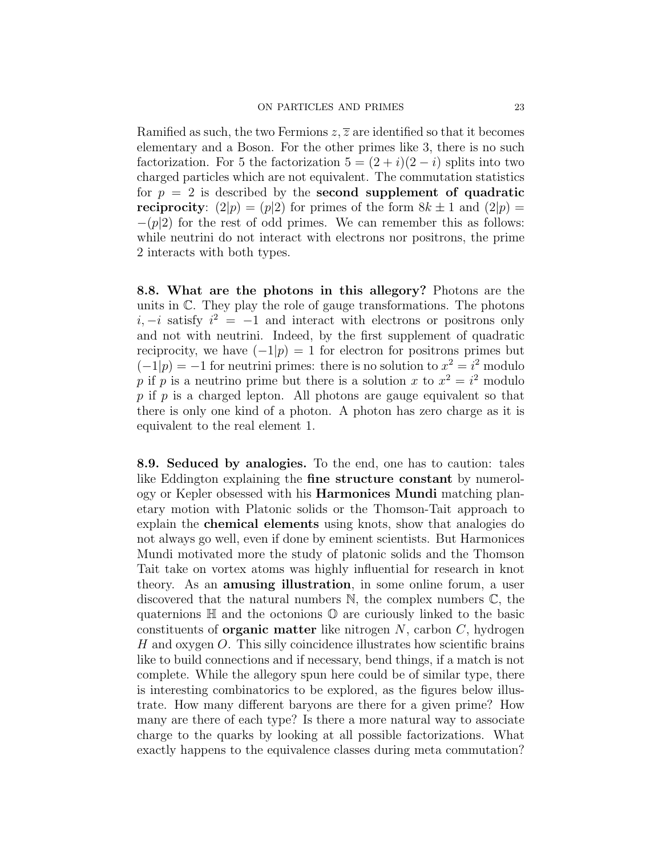Ramified as such, the two Fermions  $z, \overline{z}$  are identified so that it becomes elementary and a Boson. For the other primes like 3, there is no such factorization. For 5 the factorization  $5 = (2 + i)(2 - i)$  splits into two charged particles which are not equivalent. The commutation statistics for  $p = 2$  is described by the **second supplement of quadratic reciprocity**:  $(2|p) = (p|2)$  for primes of the form  $8k \pm 1$  and  $(2|p) =$  $-(p|2)$  for the rest of odd primes. We can remember this as follows: while neutrini do not interact with electrons nor positrons, the prime 2 interacts with both types.

8.8. What are the photons in this allegory? Photons are the units in  $\mathbb{C}$ . They play the role of gauge transformations. The photons  $i, -i$  satisfy  $i^2 = -1$  and interact with electrons or positrons only and not with neutrini. Indeed, by the first supplement of quadratic reciprocity, we have  $(-1|p) = 1$  for electron for positrons primes but  $(-1|p) = -1$  for neutrini primes: there is no solution to  $x^2 = i^2$  modulo p if p is a neutrino prime but there is a solution x to  $x^2 = i^2$  modulo  $p$  if  $p$  is a charged lepton. All photons are gauge equivalent so that there is only one kind of a photon. A photon has zero charge as it is equivalent to the real element 1.

8.9. Seduced by analogies. To the end, one has to caution: tales like Eddington explaining the fine structure constant by numerology or Kepler obsessed with his Harmonices Mundi matching planetary motion with Platonic solids or the Thomson-Tait approach to explain the chemical elements using knots, show that analogies do not always go well, even if done by eminent scientists. But Harmonices Mundi motivated more the study of platonic solids and the Thomson Tait take on vortex atoms was highly influential for research in knot theory. As an amusing illustration, in some online forum, a user discovered that the natural numbers  $\mathbb{N}$ , the complex numbers  $\mathbb{C}$ , the quaternions  $\mathbb H$  and the octonions  $\mathbb O$  are curiously linked to the basic constituents of **organic matter** like nitrogen  $N$ , carbon  $C$ , hydrogen H and oxygen O. This silly coincidence illustrates how scientific brains like to build connections and if necessary, bend things, if a match is not complete. While the allegory spun here could be of similar type, there is interesting combinatorics to be explored, as the figures below illustrate. How many different baryons are there for a given prime? How many are there of each type? Is there a more natural way to associate charge to the quarks by looking at all possible factorizations. What exactly happens to the equivalence classes during meta commutation?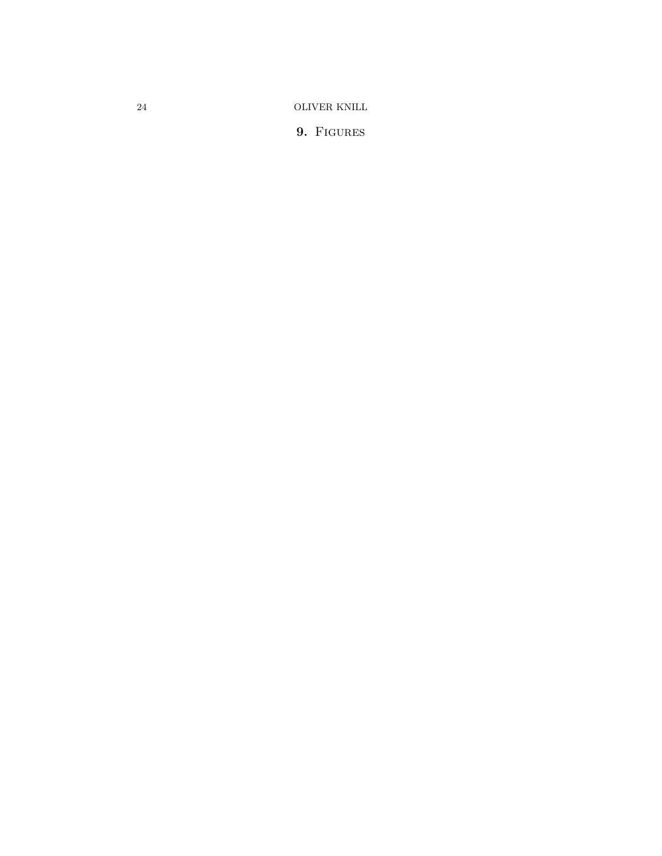9. FIGURES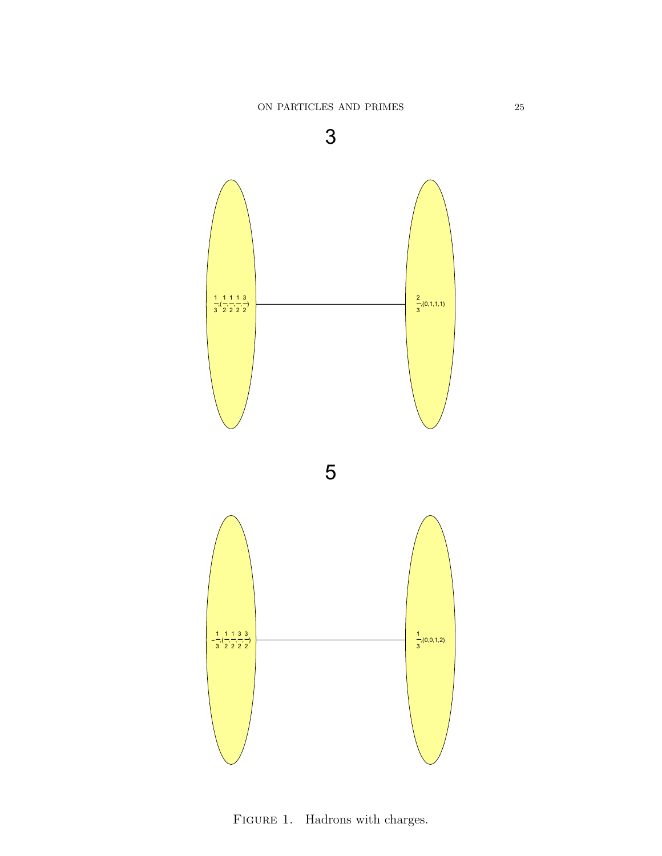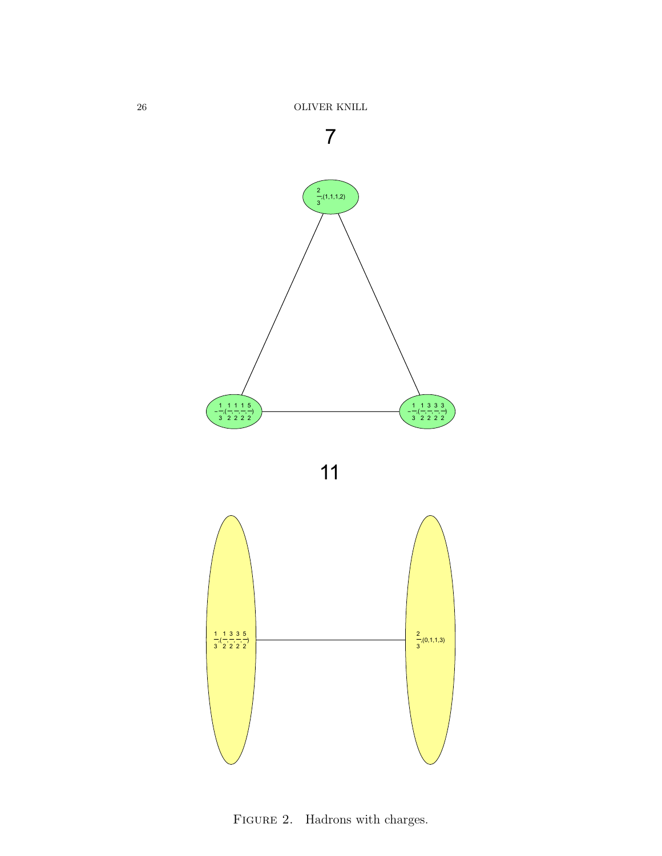



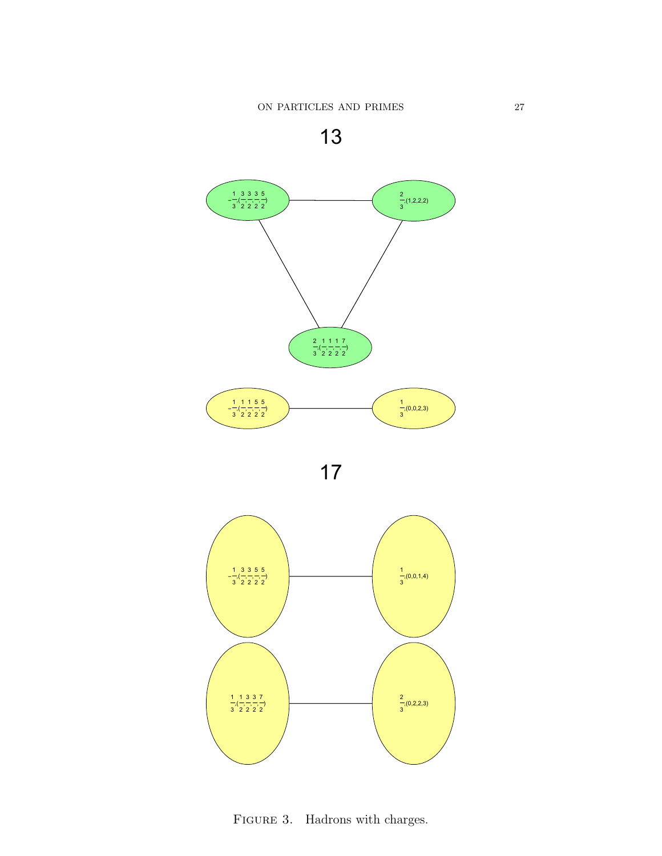



FIGURE 3. Hadrons with charges.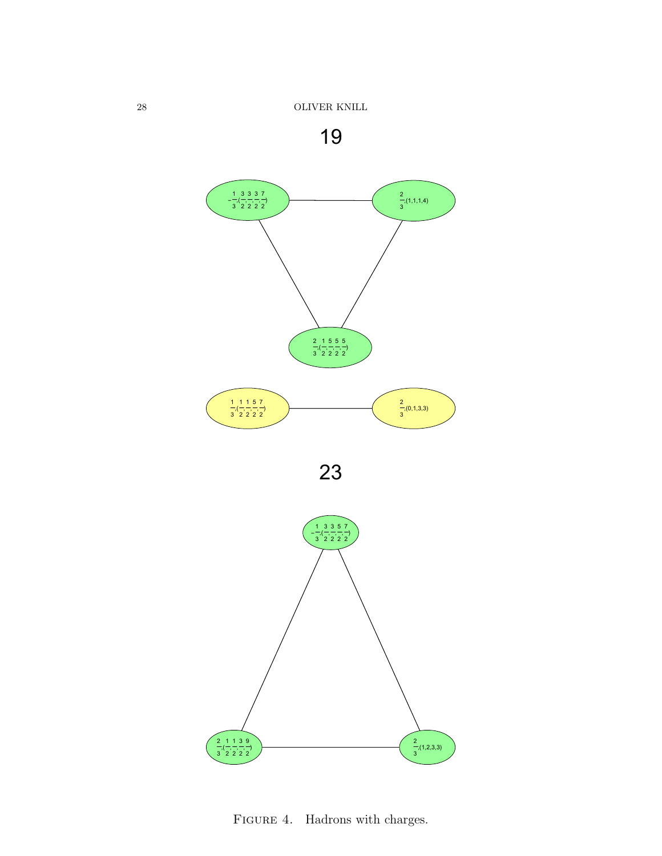







FIGURE 4. Hadrons with charges.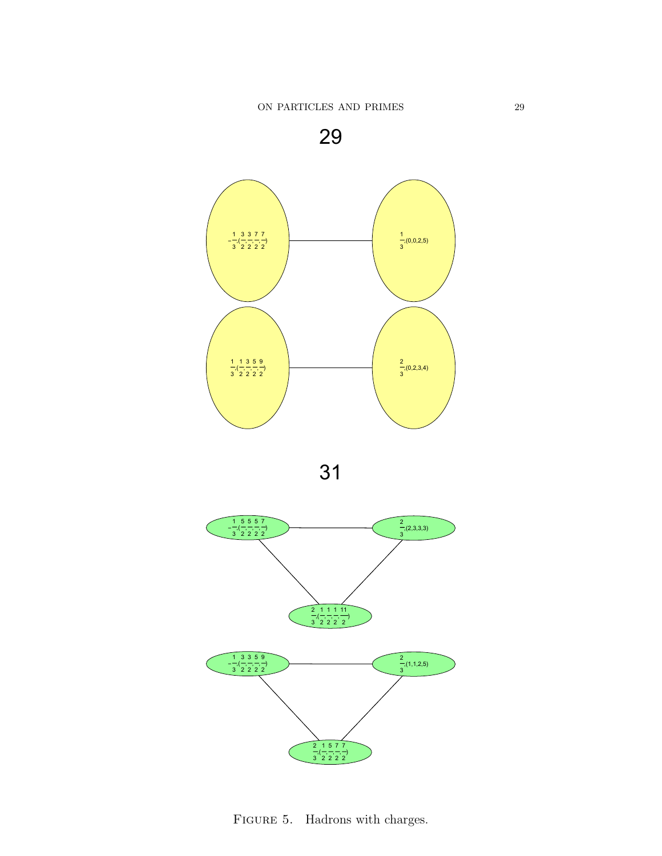







FIGURE 5. Hadrons with charges.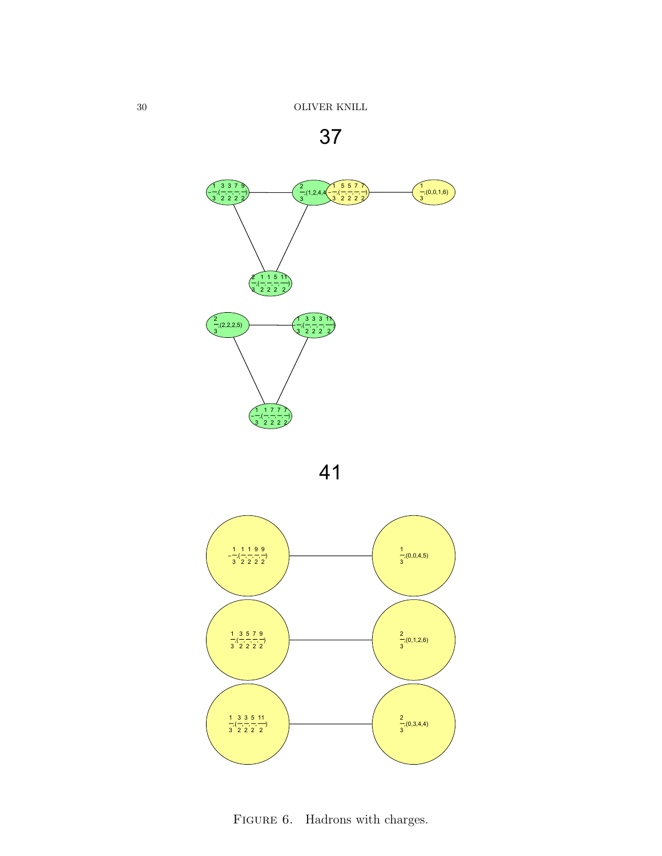







FIGURE 6. Hadrons with charges.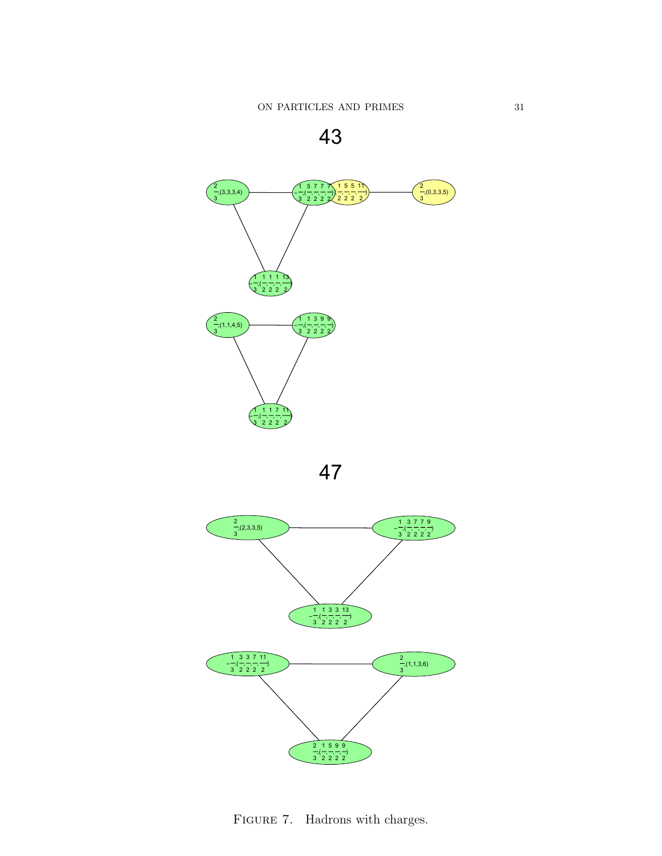





FIGURE 7. Hadrons with charges.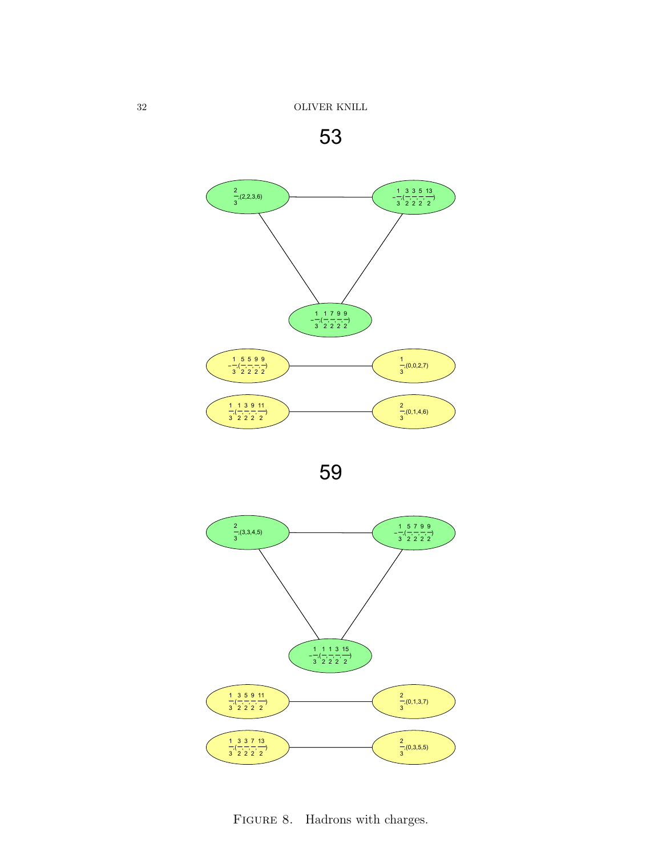







FIGURE 8. Hadrons with charges.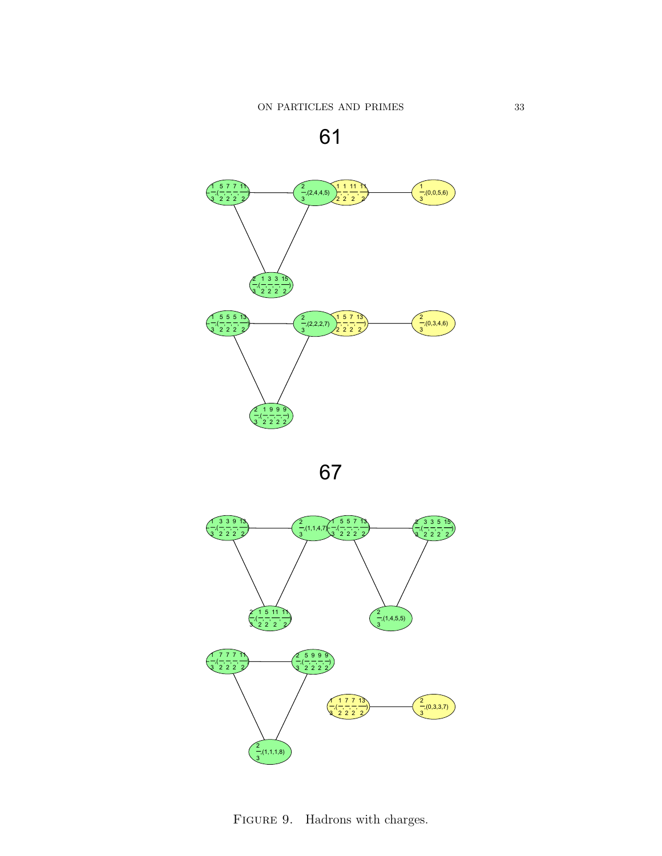



FIGURE 9. Hadrons with charges.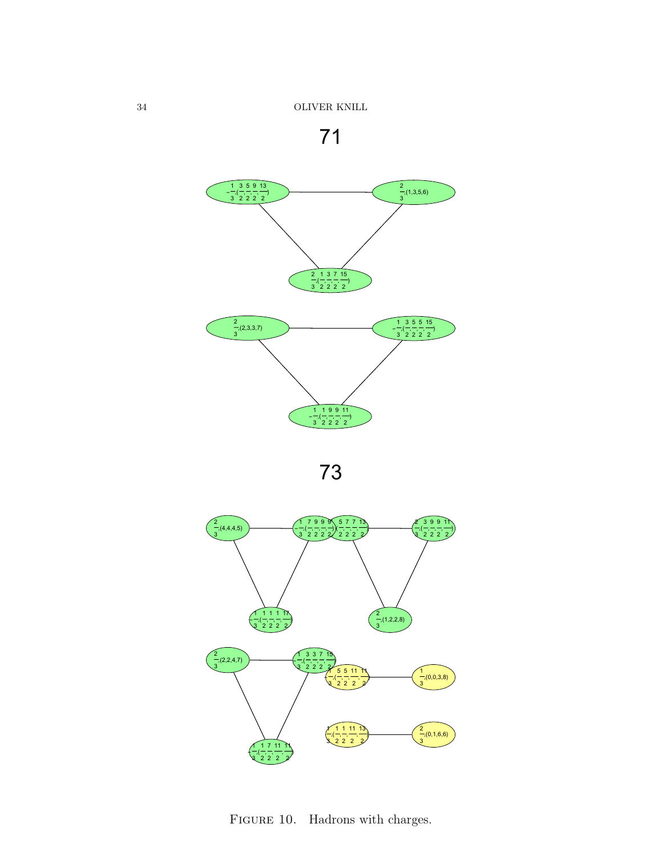





FIGURE 10. Hadrons with charges.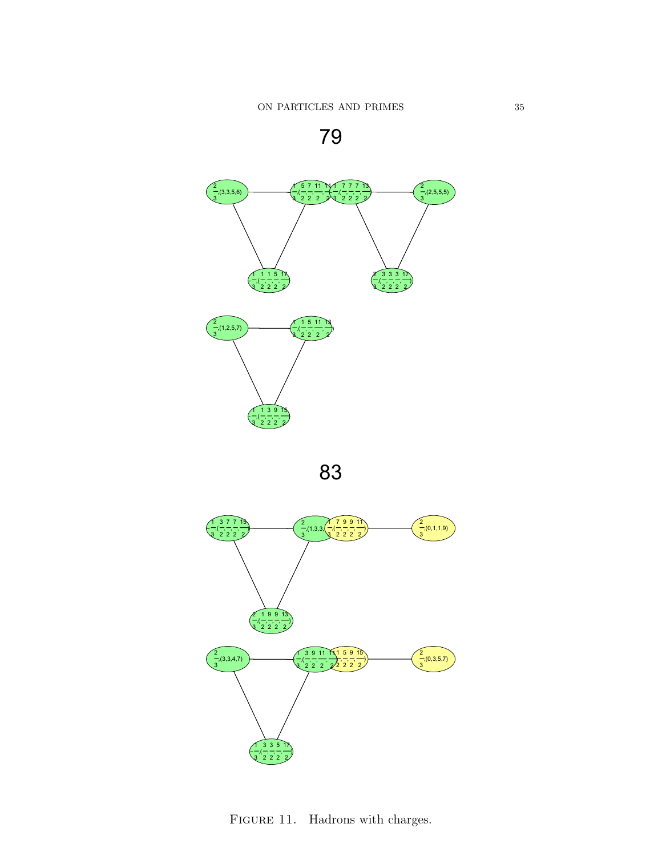





FIGURE 11. Hadrons with charges.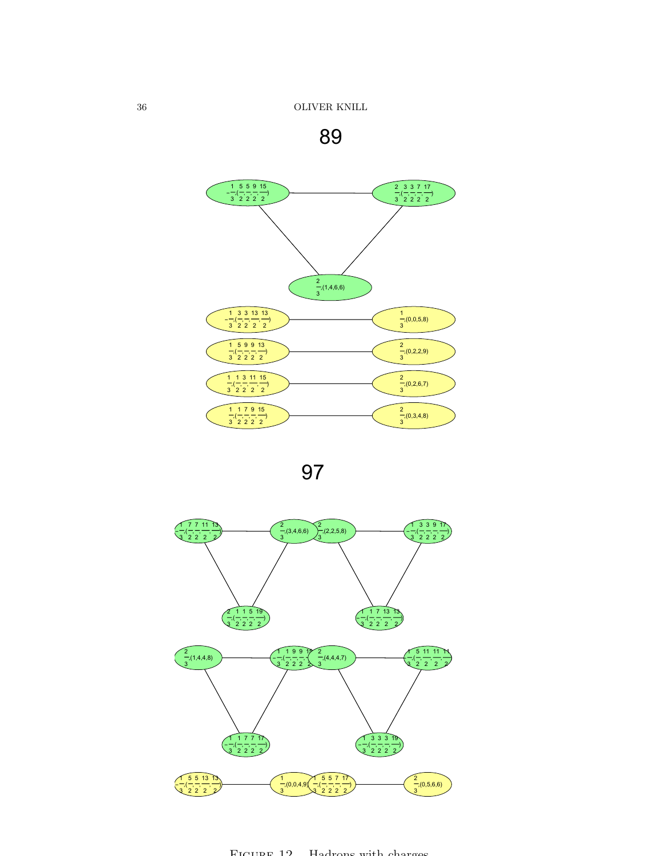







FIGURE 12. Hadrons with charges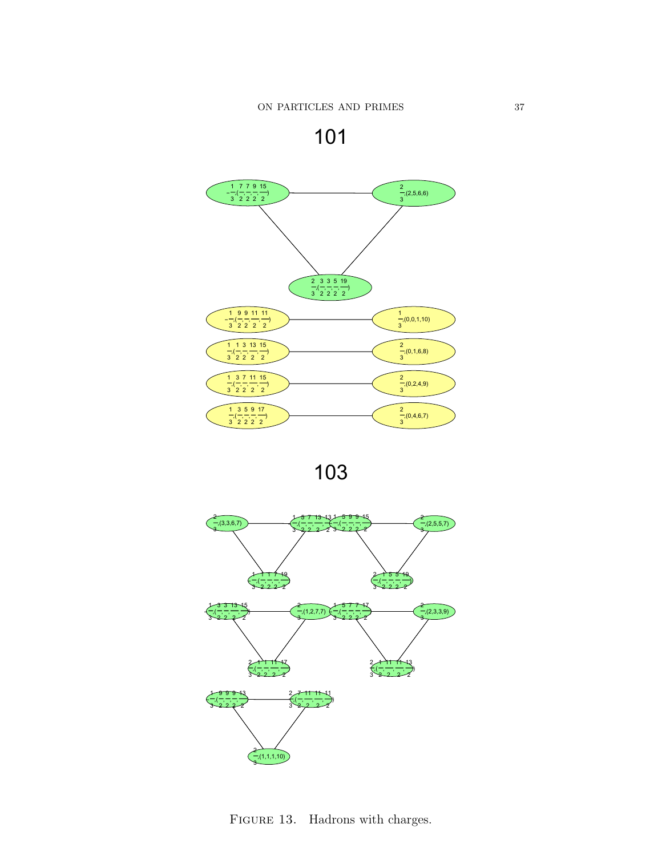





FIGURE 13. Hadrons with charges.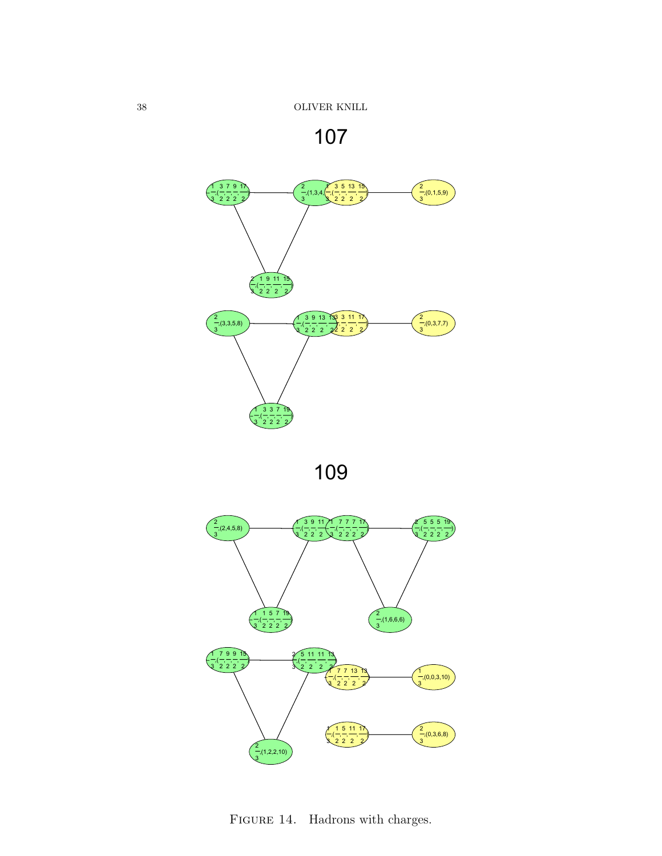







FIGURE 14. Hadrons with charges.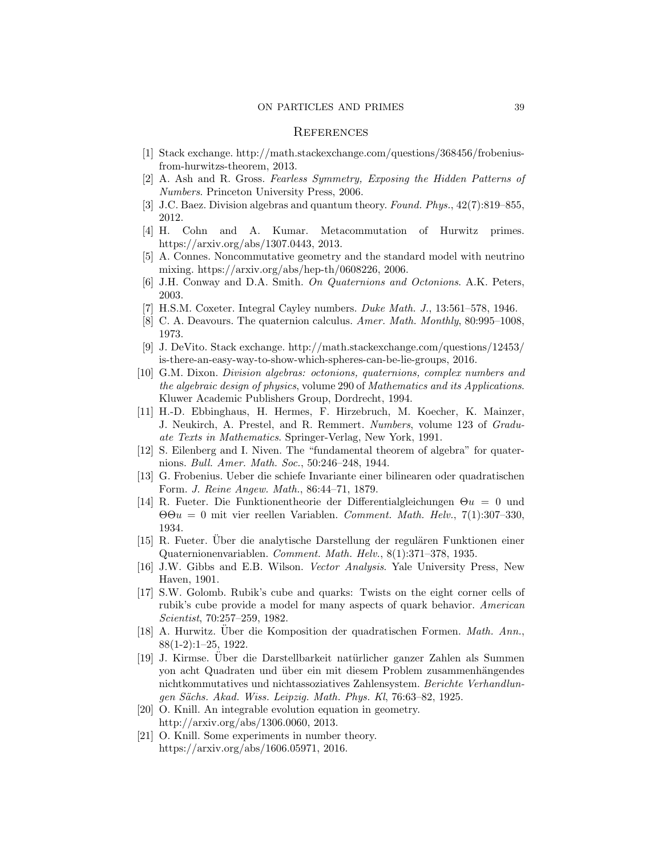#### **REFERENCES**

- [1] Stack exchange. http://math.stackexchange.com/questions/368456/frobeniusfrom-hurwitzs-theorem, 2013.
- [2] A. Ash and R. Gross. Fearless Symmetry, Exposing the Hidden Patterns of Numbers. Princeton University Press, 2006.
- [3] J.C. Baez. Division algebras and quantum theory. Found. Phys., 42(7):819–855, 2012.
- [4] H. Cohn and A. Kumar. Metacommutation of Hurwitz primes. https://arxiv.org/abs/1307.0443, 2013.
- [5] A. Connes. Noncommutative geometry and the standard model with neutrino mixing. https://arxiv.org/abs/hep-th/0608226, 2006.
- [6] J.H. Conway and D.A. Smith. On Quaternions and Octonions. A.K. Peters, 2003.
- H.S.M. Coxeter. Integral Cayley numbers. Duke Math. J., 13:561–578, 1946.
- [8] C. A. Deavours. The quaternion calculus. Amer. Math. Monthly, 80:995–1008, 1973.
- [9] J. DeVito. Stack exchange. http://math.stackexchange.com/questions/12453/ is-there-an-easy-way-to-show-which-spheres-can-be-lie-groups, 2016.
- [10] G.M. Dixon. Division algebras: octonions, quaternions, complex numbers and the algebraic design of physics, volume 290 of Mathematics and its Applications. Kluwer Academic Publishers Group, Dordrecht, 1994.
- [11] H.-D. Ebbinghaus, H. Hermes, F. Hirzebruch, M. Koecher, K. Mainzer, J. Neukirch, A. Prestel, and R. Remmert. Numbers, volume 123 of Graduate Texts in Mathematics. Springer-Verlag, New York, 1991.
- [12] S. Eilenberg and I. Niven. The "fundamental theorem of algebra" for quaternions. Bull. Amer. Math. Soc., 50:246–248, 1944.
- [13] G. Frobenius. Ueber die schiefe Invariante einer bilinearen oder quadratischen Form. J. Reine Angew. Math., 86:44–71, 1879.
- [14] R. Fueter. Die Funktionentheorie der Differentialgleichungen  $\Theta u = 0$  und  $\Theta$ θ $u = 0$  mit vier reellen Variablen. Comment. Math. Helv., 7(1):307-330, 1934.
- [15] R. Fueter. Über die analytische Darstellung der regulären Funktionen einer Quaternionenvariablen. Comment. Math. Helv., 8(1):371–378, 1935.
- [16] J.W. Gibbs and E.B. Wilson. Vector Analysis. Yale University Press, New Haven, 1901.
- [17] S.W. Golomb. Rubik's cube and quarks: Twists on the eight corner cells of rubik's cube provide a model for many aspects of quark behavior. American Scientist, 70:257–259, 1982.
- [18] A. Hurwitz. Über die Komposition der quadratischen Formen. Math. Ann., 88(1-2):1–25, 1922.
- [19] J. Kirmse. Über die Darstellbarkeit natürlicher ganzer Zahlen als Summen yon acht Quadraten und über ein mit diesem Problem zusammenhängendes nichtkommutatives und nichtassoziatives Zahlensystem. Berichte Verhandlungen Sächs. Akad. Wiss. Leipzig. Math. Phys. Kl, 76:63-82, 1925.
- [20] O. Knill. An integrable evolution equation in geometry. http://arxiv.org/abs/1306.0060, 2013.
- [21] O. Knill. Some experiments in number theory. https://arxiv.org/abs/1606.05971, 2016.